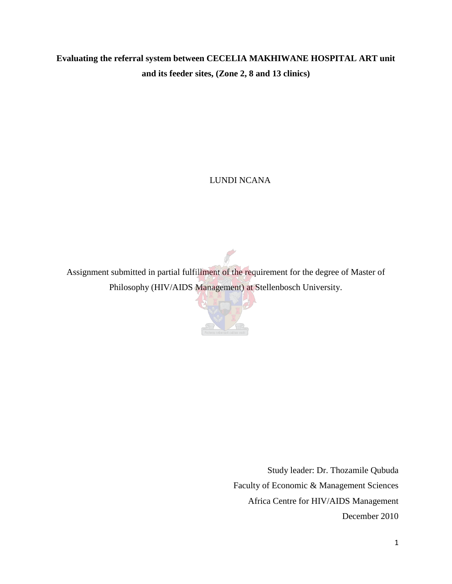# **Evaluating the referral system between CECELIA MAKHIWANE HOSPITAL ART unit and its feeder sites, (Zone 2, 8 and 13 clinics)**

# LUNDI NCANA

Assignment submitted in partial fulfillment of the requirement for the degree of Master of Philosophy (HIV/AIDS Management) at Stellenbosch University.



<span id="page-0-0"></span>Study leader: Dr. Thozamile Qubuda Faculty of Economic & Management Sciences Africa Centre for HIV/AIDS Management December 2010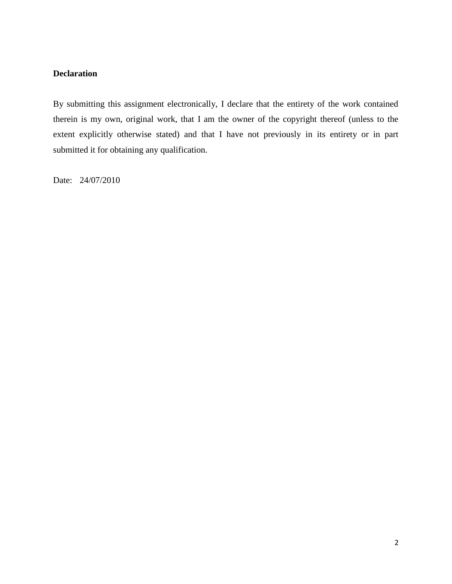# **Declaration**

By submitting this assignment electronically, I declare that the entirety of the work contained therein is my own, original work, that I am the owner of the copyright thereof (unless to the extent explicitly otherwise stated) and that I have not previously in its entirety or in part submitted it for obtaining any qualification.

Date: 24/07/2010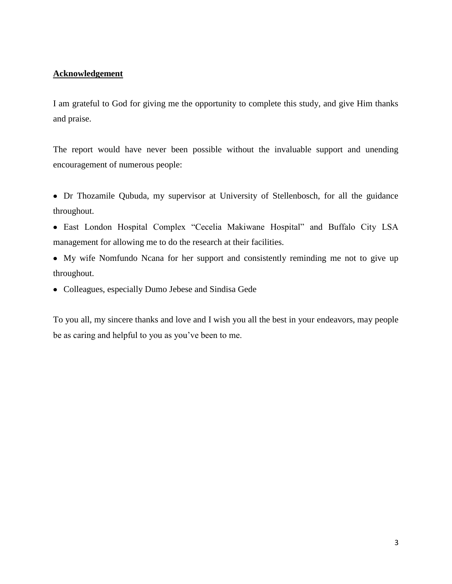# <span id="page-2-0"></span>**Acknowledgement**

I am grateful to God for giving me the opportunity to complete this study, and give Him thanks and praise.

The report would have never been possible without the invaluable support and unending encouragement of numerous people:

- Dr Thozamile Qubuda, my supervisor at University of Stellenbosch, for all the guidance throughout.
- East London Hospital Complex "Cecelia Makiwane Hospital" and Buffalo City LSA management for allowing me to do the research at their facilities.
- My wife Nomfundo Ncana for her support and consistently reminding me not to give up throughout.
- Colleagues, especially Dumo Jebese and Sindisa Gede

To you all, my sincere thanks and love and I wish you all the best in your endeavors, may people be as caring and helpful to you as you"ve been to me.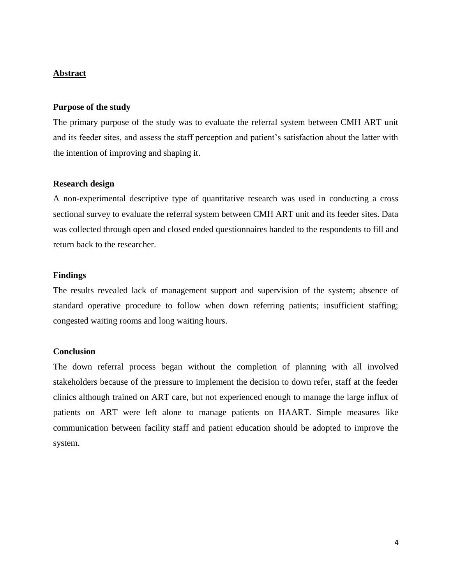## <span id="page-3-0"></span>**Abstract**

#### **Purpose of the study**

The primary purpose of the study was to evaluate the referral system between CMH ART unit and its feeder sites, and assess the staff perception and patient's satisfaction about the latter with the intention of improving and shaping it.

#### **Research design**

A non-experimental descriptive type of quantitative research was used in conducting a cross sectional survey to evaluate the referral system between CMH ART unit and its feeder sites. Data was collected through open and closed ended questionnaires handed to the respondents to fill and return back to the researcher.

#### **Findings**

The results revealed lack of management support and supervision of the system; absence of standard operative procedure to follow when down referring patients; insufficient staffing; congested waiting rooms and long waiting hours.

#### **Conclusion**

The down referral process began without the completion of planning with all involved stakeholders because of the pressure to implement the decision to down refer, staff at the feeder clinics although trained on ART care, but not experienced enough to manage the large influx of patients on ART were left alone to manage patients on HAART. Simple measures like communication between facility staff and patient education should be adopted to improve the system.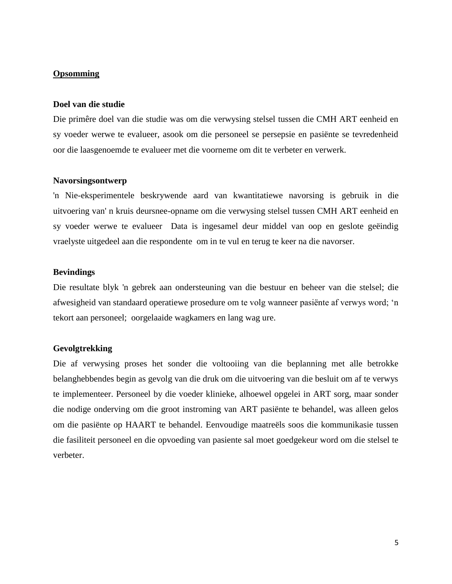## **Opsomming**

#### **Doel van die studie**

Die primêre doel van die studie was om die verwysing stelsel tussen die CMH ART eenheid en sy voeder werwe te evalueer, asook om die personeel se persepsie en pasiënte se tevredenheid oor die laasgenoemde te evalueer met die voorneme om dit te verbeter en verwerk.

#### **Navorsingsontwerp**

'n Nie-eksperimentele beskrywende aard van kwantitatiewe navorsing is gebruik in die uitvoering van' n kruis deursnee-opname om die verwysing stelsel tussen CMH ART eenheid en sy voeder werwe te evalueer Data is ingesamel deur middel van oop en geslote geëindig vraelyste uitgedeel aan die respondente om in te vul en terug te keer na die navorser.

#### **Bevindings**

Die resultate blyk 'n gebrek aan ondersteuning van die bestuur en beheer van die stelsel; die afwesigheid van standaard operatiewe prosedure om te volg wanneer pasiënte af verwys word; "n tekort aan personeel; oorgelaaide wagkamers en lang wag ure.

## **Gevolgtrekking**

Die af verwysing proses het sonder die voltooiing van die beplanning met alle betrokke belanghebbendes begin as gevolg van die druk om die uitvoering van die besluit om af te verwys te implementeer. Personeel by die voeder klinieke, alhoewel opgelei in ART sorg, maar sonder die nodige onderving om die groot instroming van ART pasiënte te behandel, was alleen gelos om die pasiënte op HAART te behandel. Eenvoudige maatreëls soos die kommunikasie tussen die fasiliteit personeel en die opvoeding van pasiente sal moet goedgekeur word om die stelsel te verbeter.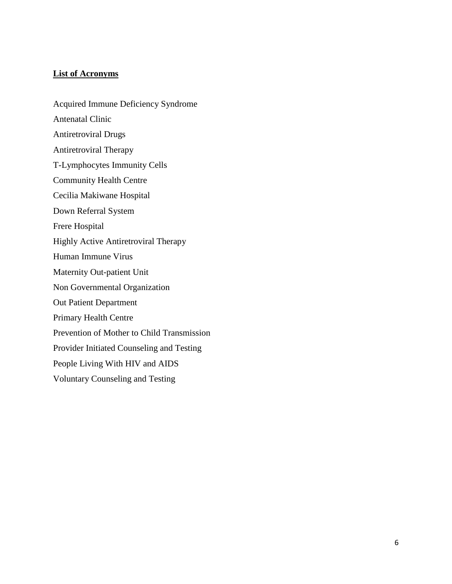## **List of Acronyms**

Acquired Immune Deficiency Syndrome Antenatal Clinic Antiretroviral Drugs Antiretroviral Therapy T-Lymphocytes Immunity Cells Community Health Centre Cecilia Makiwane Hospital Down Referral System Frere Hospital Highly Active Antiretroviral Therapy Human Immune Virus Maternity Out-patient Unit Non Governmental Organization Out Patient Department Primary Health Centre Prevention of Mother to Child Transmission Provider Initiated Counseling and Testing People Living With HIV and AIDS Voluntary Counseling and Testing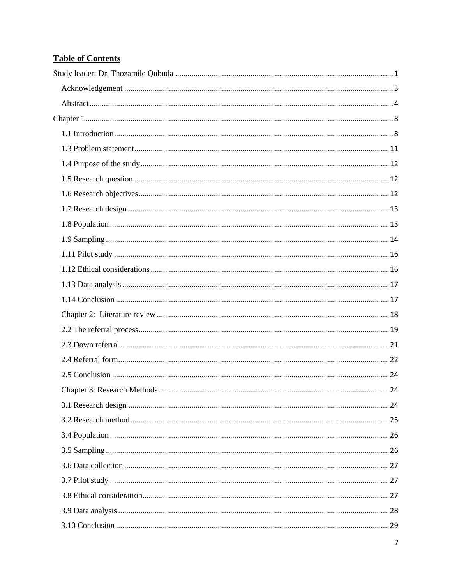# **Table of Contents**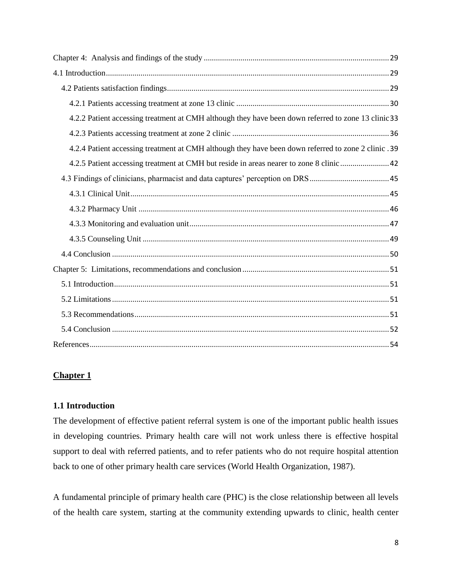| 4.2.2 Patient accessing treatment at CMH although they have been down referred to zone 13 clinic 33 |
|-----------------------------------------------------------------------------------------------------|
|                                                                                                     |
| 4.2.4 Patient accessing treatment at CMH although they have been down referred to zone 2 clinic .39 |
| 4.2.5 Patient accessing treatment at CMH but reside in areas nearer to zone 8 clinic  42            |
|                                                                                                     |
|                                                                                                     |
|                                                                                                     |
|                                                                                                     |
|                                                                                                     |
|                                                                                                     |
|                                                                                                     |
|                                                                                                     |
|                                                                                                     |
|                                                                                                     |
|                                                                                                     |
|                                                                                                     |

# <span id="page-7-0"></span>**Chapter 1**

## <span id="page-7-1"></span>**1.1 Introduction**

The development of effective patient referral system is one of the important public health issues in developing countries. Primary health care will not work unless there is effective hospital support to deal with referred patients, and to refer patients who do not require hospital attention back to one of other primary health care services (World Health Organization, 1987).

A fundamental principle of primary health care (PHC) is the close relationship between all levels of the health care system, starting at the community extending upwards to clinic, health center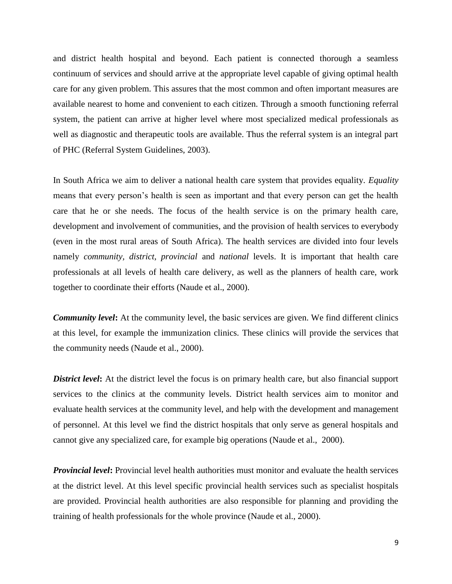and district health hospital and beyond. Each patient is connected thorough a seamless continuum of services and should arrive at the appropriate level capable of giving optimal health care for any given problem. This assures that the most common and often important measures are available nearest to home and convenient to each citizen. Through a smooth functioning referral system, the patient can arrive at higher level where most specialized medical professionals as well as diagnostic and therapeutic tools are available. Thus the referral system is an integral part of PHC (Referral System Guidelines, 2003).

In South Africa we aim to deliver a national health care system that provides equality. *Equality* means that every person"s health is seen as important and that every person can get the health care that he or she needs. The focus of the health service is on the primary health care, development and involvement of communities, and the provision of health services to everybody (even in the most rural areas of South Africa). The health services are divided into four levels namely *community, district, provincial* and *national* levels. It is important that health care professionals at all levels of health care delivery, as well as the planners of health care, work together to coordinate their efforts (Naude et al., 2000).

*Community level*: At the community level, the basic services are given. We find different clinics at this level, for example the immunization clinics. These clinics will provide the services that the community needs (Naude et al., 2000).

**District level:** At the district level the focus is on primary health care, but also financial support services to the clinics at the community levels. District health services aim to monitor and evaluate health services at the community level, and help with the development and management of personnel. At this level we find the district hospitals that only serve as general hospitals and cannot give any specialized care, for example big operations (Naude et al., 2000).

*Provincial level***:** Provincial level health authorities must monitor and evaluate the health services at the district level. At this level specific provincial health services such as specialist hospitals are provided. Provincial health authorities are also responsible for planning and providing the training of health professionals for the whole province (Naude et al., 2000).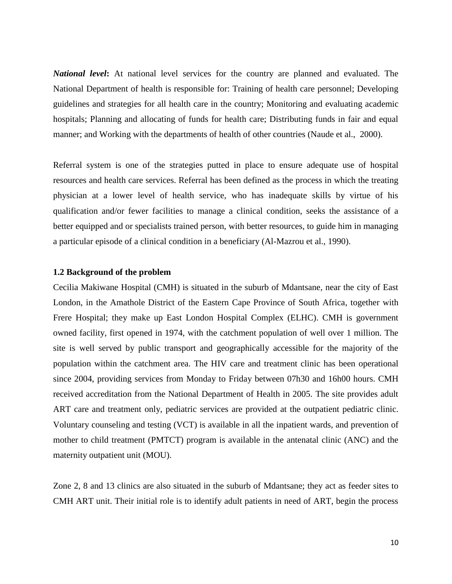*National level***:** At national level services for the country are planned and evaluated. The National Department of health is responsible for: Training of health care personnel; Developing guidelines and strategies for all health care in the country; Monitoring and evaluating academic hospitals; Planning and allocating of funds for health care; Distributing funds in fair and equal manner; and Working with the departments of health of other countries (Naude et al., 2000).

Referral system is one of the strategies putted in place to ensure adequate use of hospital resources and health care services. Referral has been defined as the process in which the treating physician at a lower level of health service, who has inadequate skills by virtue of his qualification and/or fewer facilities to manage a clinical condition, seeks the assistance of a better equipped and or specialists trained person, with better resources, to guide him in managing a particular episode of a clinical condition in a beneficiary (Al-Mazrou et al., 1990).

#### **1.2 Background of the problem**

Cecilia Makiwane Hospital (CMH) is situated in the suburb of Mdantsane, near the city of East London, in the Amathole District of the Eastern Cape Province of South Africa, together with Frere Hospital; they make up East London Hospital Complex (ELHC). CMH is government owned facility, first opened in 1974, with the catchment population of well over 1 million. The site is well served by public transport and geographically accessible for the majority of the population within the catchment area. The HIV care and treatment clinic has been operational since 2004, providing services from Monday to Friday between 07h30 and 16h00 hours. CMH received accreditation from the National Department of Health in 2005. The site provides adult ART care and treatment only, pediatric services are provided at the outpatient pediatric clinic. Voluntary counseling and testing (VCT) is available in all the inpatient wards, and prevention of mother to child treatment (PMTCT) program is available in the antenatal clinic (ANC) and the maternity outpatient unit (MOU).

Zone 2, 8 and 13 clinics are also situated in the suburb of Mdantsane; they act as feeder sites to CMH ART unit. Their initial role is to identify adult patients in need of ART, begin the process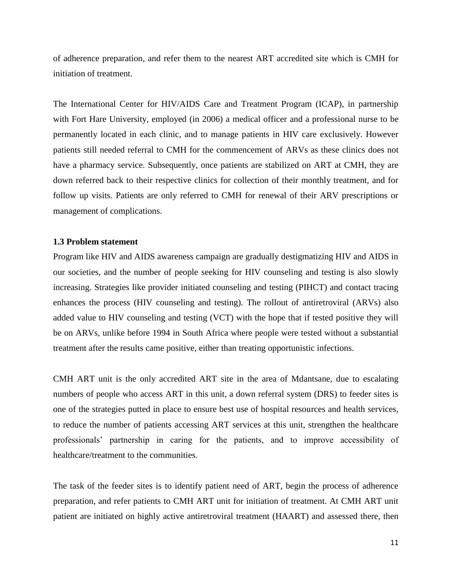of adherence preparation, and refer them to the nearest ART accredited site which is CMH for initiation of treatment.

The International Center for HIV/AIDS Care and Treatment Program (ICAP), in partnership with Fort Hare University, employed (in 2006) a medical officer and a professional nurse to be permanently located in each clinic, and to manage patients in HIV care exclusively. However patients still needed referral to CMH for the commencement of ARVs as these clinics does not have a pharmacy service. Subsequently, once patients are stabilized on ART at CMH, they are down referred back to their respective clinics for collection of their monthly treatment, and for follow up visits. Patients are only referred to CMH for renewal of their ARV prescriptions or management of complications.

#### <span id="page-10-0"></span>**1.3 Problem statement**

Program like HIV and AIDS awareness campaign are gradually destigmatizing HIV and AIDS in our societies, and the number of people seeking for HIV counseling and testing is also slowly increasing. Strategies like provider initiated counseling and testing (PIHCT) and contact tracing enhances the process (HIV counseling and testing). The rollout of antiretroviral (ARVs) also added value to HIV counseling and testing (VCT) with the hope that if tested positive they will be on ARVs, unlike before 1994 in South Africa where people were tested without a substantial treatment after the results came positive, either than treating opportunistic infections.

CMH ART unit is the only accredited ART site in the area of Mdantsane, due to escalating numbers of people who access ART in this unit, a down referral system (DRS) to feeder sites is one of the strategies putted in place to ensure best use of hospital resources and health services, to reduce the number of patients accessing ART services at this unit, strengthen the healthcare professionals" partnership in caring for the patients, and to improve accessibility of healthcare/treatment to the communities.

The task of the feeder sites is to identify patient need of ART, begin the process of adherence preparation, and refer patients to CMH ART unit for initiation of treatment. At CMH ART unit patient are initiated on highly active antiretroviral treatment (HAART) and assessed there, then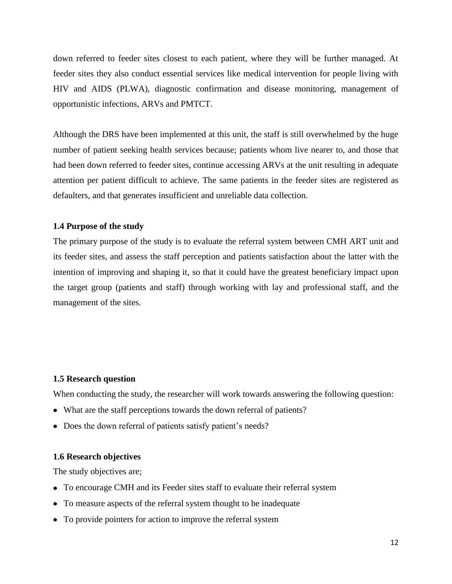down referred to feeder sites closest to each patient, where they will be further managed. At feeder sites they also conduct essential services like medical intervention for people living with HIV and AIDS (PLWA), diagnostic confirmation and disease monitoring, management of opportunistic infections, ARVs and PMTCT.

Although the DRS have been implemented at this unit, the staff is still overwhelmed by the huge number of patient seeking health services because; patients whom live nearer to, and those that had been down referred to feeder sites, continue accessing ARVs at the unit resulting in adequate attention per patient difficult to achieve. The same patients in the feeder sites are registered as defaulters, and that generates insufficient and unreliable data collection.

#### <span id="page-11-0"></span>**1.4 Purpose of the study**

The primary purpose of the study is to evaluate the referral system between CMH ART unit and its feeder sites, and assess the staff perception and patients satisfaction about the latter with the intention of improving and shaping it, so that it could have the greatest beneficiary impact upon the target group (patients and staff) through working with lay and professional staff, and the management of the sites.

## <span id="page-11-1"></span>**1.5 Research question**

When conducting the study, the researcher will work towards answering the following question:

- What are the staff perceptions towards the down referral of patients?
- Does the down referral of patients satisfy patient's needs?

#### <span id="page-11-2"></span>**1.6 Research objectives**

The study objectives are;

- To encourage CMH and its Feeder sites staff to evaluate their referral system
- To measure aspects of the referral system thought to be inadequate
- To provide pointers for action to improve the referral system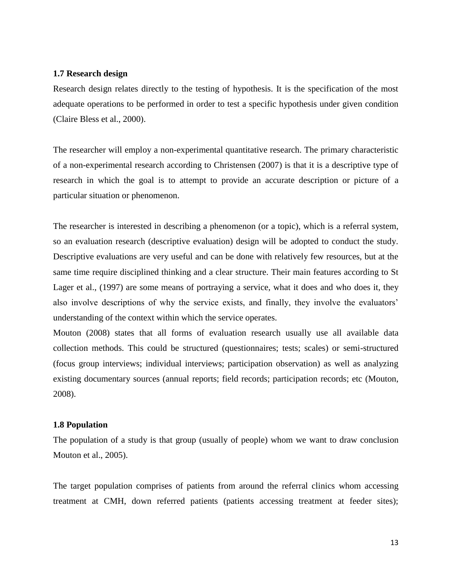#### <span id="page-12-0"></span>**1.7 Research design**

Research design relates directly to the testing of hypothesis. It is the specification of the most adequate operations to be performed in order to test a specific hypothesis under given condition (Claire Bless et al., 2000).

The researcher will employ a non-experimental quantitative research. The primary characteristic of a non-experimental research according to Christensen (2007) is that it is a descriptive type of research in which the goal is to attempt to provide an accurate description or picture of a particular situation or phenomenon.

The researcher is interested in describing a phenomenon (or a topic), which is a referral system, so an evaluation research (descriptive evaluation) design will be adopted to conduct the study. Descriptive evaluations are very useful and can be done with relatively few resources, but at the same time require disciplined thinking and a clear structure. Their main features according to St Lager et al., (1997) are some means of portraying a service, what it does and who does it, they also involve descriptions of why the service exists, and finally, they involve the evaluators' understanding of the context within which the service operates.

Mouton (2008) states that all forms of evaluation research usually use all available data collection methods. This could be structured (questionnaires; tests; scales) or semi-structured (focus group interviews; individual interviews; participation observation) as well as analyzing existing documentary sources (annual reports; field records; participation records; etc (Mouton, 2008).

#### <span id="page-12-1"></span>**1.8 Population**

The population of a study is that group (usually of people) whom we want to draw conclusion Mouton et al., 2005).

The target population comprises of patients from around the referral clinics whom accessing treatment at CMH, down referred patients (patients accessing treatment at feeder sites);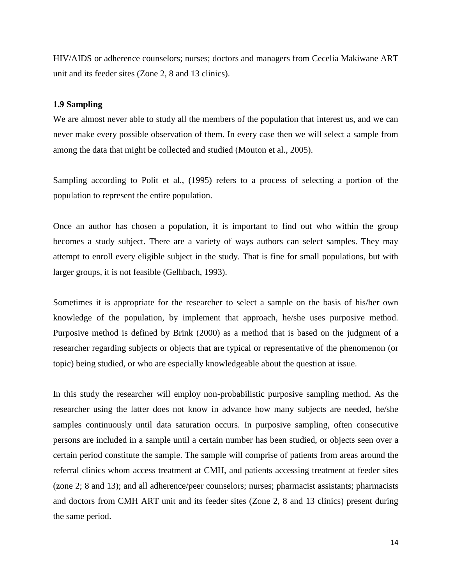HIV/AIDS or adherence counselors; nurses; doctors and managers from Cecelia Makiwane ART unit and its feeder sites (Zone 2, 8 and 13 clinics).

#### <span id="page-13-0"></span>**1.9 Sampling**

We are almost never able to study all the members of the population that interest us, and we can never make every possible observation of them. In every case then we will select a sample from among the data that might be collected and studied (Mouton et al., 2005).

Sampling according to Polit et al., (1995) refers to a process of selecting a portion of the population to represent the entire population.

Once an author has chosen a population, it is important to find out who within the group becomes a study subject. There are a variety of ways authors can select samples. They may attempt to enroll every eligible subject in the study. That is fine for small populations, but with larger groups, it is not feasible (Gelhbach, 1993).

Sometimes it is appropriate for the researcher to select a sample on the basis of his/her own knowledge of the population, by implement that approach, he/she uses purposive method. Purposive method is defined by Brink (2000) as a method that is based on the judgment of a researcher regarding subjects or objects that are typical or representative of the phenomenon (or topic) being studied, or who are especially knowledgeable about the question at issue.

In this study the researcher will employ non-probabilistic purposive sampling method. As the researcher using the latter does not know in advance how many subjects are needed, he/she samples continuously until data saturation occurs. In purposive sampling, often consecutive persons are included in a sample until a certain number has been studied, or objects seen over a certain period constitute the sample. The sample will comprise of patients from areas around the referral clinics whom access treatment at CMH, and patients accessing treatment at feeder sites (zone 2; 8 and 13); and all adherence/peer counselors; nurses; pharmacist assistants; pharmacists and doctors from CMH ART unit and its feeder sites (Zone 2, 8 and 13 clinics) present during the same period.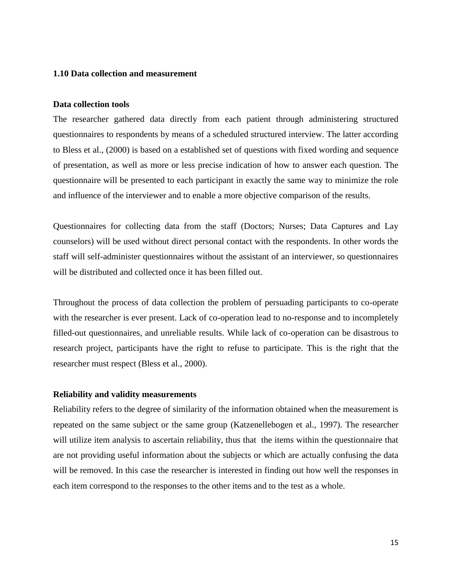#### **1.10 Data collection and measurement**

#### **Data collection tools**

The researcher gathered data directly from each patient through administering structured questionnaires to respondents by means of a scheduled structured interview. The latter according to Bless et al., (2000) is based on a established set of questions with fixed wording and sequence of presentation, as well as more or less precise indication of how to answer each question. The questionnaire will be presented to each participant in exactly the same way to minimize the role and influence of the interviewer and to enable a more objective comparison of the results.

Questionnaires for collecting data from the staff (Doctors; Nurses; Data Captures and Lay counselors) will be used without direct personal contact with the respondents. In other words the staff will self-administer questionnaires without the assistant of an interviewer, so questionnaires will be distributed and collected once it has been filled out.

Throughout the process of data collection the problem of persuading participants to co-operate with the researcher is ever present. Lack of co-operation lead to no-response and to incompletely filled-out questionnaires, and unreliable results. While lack of co-operation can be disastrous to research project, participants have the right to refuse to participate. This is the right that the researcher must respect (Bless et al., 2000).

## **Reliability and validity measurements**

Reliability refers to the degree of similarity of the information obtained when the measurement is repeated on the same subject or the same group (Katzenellebogen et al., 1997). The researcher will utilize item analysis to ascertain reliability, thus that the items within the questionnaire that are not providing useful information about the subjects or which are actually confusing the data will be removed. In this case the researcher is interested in finding out how well the responses in each item correspond to the responses to the other items and to the test as a whole.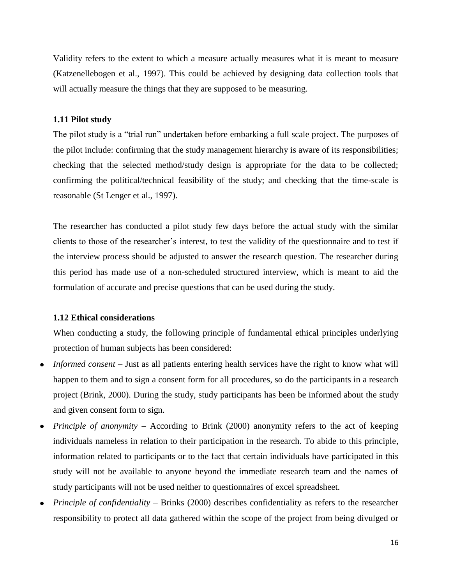Validity refers to the extent to which a measure actually measures what it is meant to measure (Katzenellebogen et al., 1997). This could be achieved by designing data collection tools that will actually measure the things that they are supposed to be measuring.

#### <span id="page-15-0"></span>**1.11 Pilot study**

The pilot study is a "trial run" undertaken before embarking a full scale project. The purposes of the pilot include: confirming that the study management hierarchy is aware of its responsibilities; checking that the selected method/study design is appropriate for the data to be collected; confirming the political/technical feasibility of the study; and checking that the time-scale is reasonable (St Lenger et al., 1997).

The researcher has conducted a pilot study few days before the actual study with the similar clients to those of the researcher"s interest, to test the validity of the questionnaire and to test if the interview process should be adjusted to answer the research question. The researcher during this period has made use of a non-scheduled structured interview, which is meant to aid the formulation of accurate and precise questions that can be used during the study.

#### <span id="page-15-1"></span>**1.12 Ethical considerations**

When conducting a study, the following principle of fundamental ethical principles underlying protection of human subjects has been considered:

- *Informed consent* Just as all patients entering health services have the right to know what will happen to them and to sign a consent form for all procedures, so do the participants in a research project (Brink, 2000). During the study, study participants has been be informed about the study and given consent form to sign.
- *Principle of anonymity* According to Brink (2000) anonymity refers to the act of keeping individuals nameless in relation to their participation in the research. To abide to this principle, information related to participants or to the fact that certain individuals have participated in this study will not be available to anyone beyond the immediate research team and the names of study participants will not be used neither to questionnaires of excel spreadsheet.
- *Principle of confidentiality* Brinks (2000) describes confidentiality as refers to the researcher  $\bullet$ responsibility to protect all data gathered within the scope of the project from being divulged or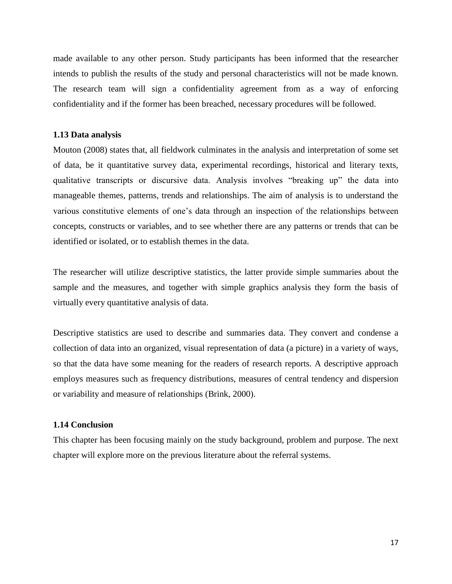made available to any other person. Study participants has been informed that the researcher intends to publish the results of the study and personal characteristics will not be made known. The research team will sign a confidentiality agreement from as a way of enforcing confidentiality and if the former has been breached, necessary procedures will be followed.

#### <span id="page-16-0"></span>**1.13 Data analysis**

Mouton (2008) states that, all fieldwork culminates in the analysis and interpretation of some set of data, be it quantitative survey data, experimental recordings, historical and literary texts, qualitative transcripts or discursive data. Analysis involves "breaking up" the data into manageable themes, patterns, trends and relationships. The aim of analysis is to understand the various constitutive elements of one"s data through an inspection of the relationships between concepts, constructs or variables, and to see whether there are any patterns or trends that can be identified or isolated, or to establish themes in the data.

The researcher will utilize descriptive statistics, the latter provide simple summaries about the sample and the measures, and together with simple graphics analysis they form the basis of virtually every quantitative analysis of data.

Descriptive statistics are used to describe and summaries data. They convert and condense a collection of data into an organized, visual representation of data (a picture) in a variety of ways, so that the data have some meaning for the readers of research reports. A descriptive approach employs measures such as frequency distributions, measures of central tendency and dispersion or variability and measure of relationships (Brink, 2000).

#### <span id="page-16-1"></span>**1.14 Conclusion**

This chapter has been focusing mainly on the study background, problem and purpose. The next chapter will explore more on the previous literature about the referral systems.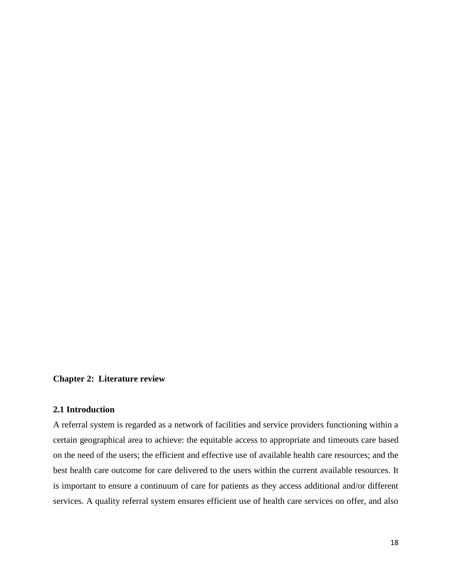# <span id="page-17-0"></span>**Chapter 2: Literature review**

## **2.1 Introduction**

A referral system is regarded as a network of facilities and service providers functioning within a certain geographical area to achieve: the equitable access to appropriate and timeouts care based on the need of the users; the efficient and effective use of available health care resources; and the best health care outcome for care delivered to the users within the current available resources. It is important to ensure a continuum of care for patients as they access additional and/or different services. A quality referral system ensures efficient use of health care services on offer, and also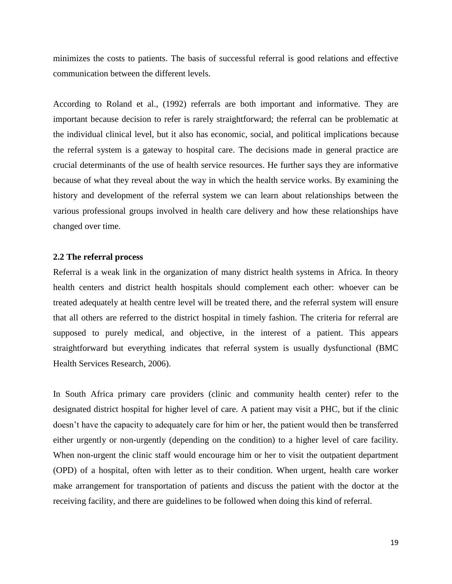minimizes the costs to patients. The basis of successful referral is good relations and effective communication between the different levels.

According to Roland et al., (1992) referrals are both important and informative. They are important because decision to refer is rarely straightforward; the referral can be problematic at the individual clinical level, but it also has economic, social, and political implications because the referral system is a gateway to hospital care. The decisions made in general practice are crucial determinants of the use of health service resources. He further says they are informative because of what they reveal about the way in which the health service works. By examining the history and development of the referral system we can learn about relationships between the various professional groups involved in health care delivery and how these relationships have changed over time.

## <span id="page-18-0"></span>**2.2 The referral process**

Referral is a weak link in the organization of many district health systems in Africa. In theory health centers and district health hospitals should complement each other: whoever can be treated adequately at health centre level will be treated there, and the referral system will ensure that all others are referred to the district hospital in timely fashion. The criteria for referral are supposed to purely medical, and objective, in the interest of a patient. This appears straightforward but everything indicates that referral system is usually dysfunctional (BMC Health Services Research, 2006).

In South Africa primary care providers (clinic and community health center) refer to the designated district hospital for higher level of care. A patient may visit a PHC, but if the clinic doesn"t have the capacity to adequately care for him or her, the patient would then be transferred either urgently or non-urgently (depending on the condition) to a higher level of care facility. When non-urgent the clinic staff would encourage him or her to visit the outpatient department (OPD) of a hospital, often with letter as to their condition. When urgent, health care worker make arrangement for transportation of patients and discuss the patient with the doctor at the receiving facility, and there are guidelines to be followed when doing this kind of referral.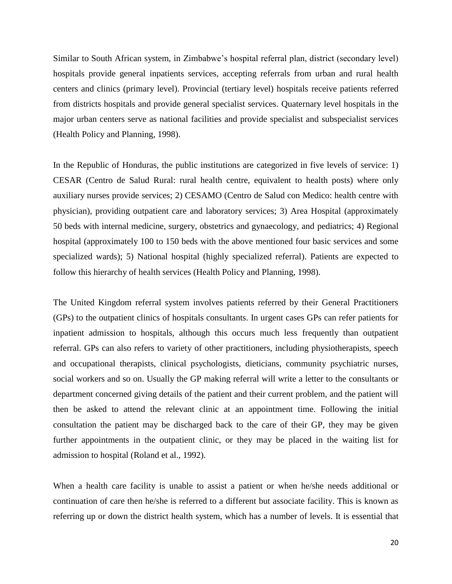Similar to South African system, in Zimbabwe"s hospital referral plan, district (secondary level) hospitals provide general inpatients services, accepting referrals from urban and rural health centers and clinics (primary level). Provincial (tertiary level) hospitals receive patients referred from districts hospitals and provide general specialist services. Quaternary level hospitals in the major urban centers serve as national facilities and provide specialist and subspecialist services (Health Policy and Planning, 1998).

In the Republic of Honduras, the public institutions are categorized in five levels of service: 1) CESAR (Centro de Salud Rural: rural health centre, equivalent to health posts) where only auxiliary nurses provide services; 2) CESAMO (Centro de Salud con Medico: health centre with physician), providing outpatient care and laboratory services; 3) Area Hospital (approximately 50 beds with internal medicine, surgery, obstetrics and gynaecology, and pediatrics; 4) Regional hospital (approximately 100 to 150 beds with the above mentioned four basic services and some specialized wards); 5) National hospital (highly specialized referral). Patients are expected to follow this hierarchy of health services (Health Policy and Planning, 1998).

The United Kingdom referral system involves patients referred by their General Practitioners (GPs) to the outpatient clinics of hospitals consultants. In urgent cases GPs can refer patients for inpatient admission to hospitals, although this occurs much less frequently than outpatient referral. GPs can also refers to variety of other practitioners, including physiotherapists, speech and occupational therapists, clinical psychologists, dieticians, community psychiatric nurses, social workers and so on. Usually the GP making referral will write a letter to the consultants or department concerned giving details of the patient and their current problem, and the patient will then be asked to attend the relevant clinic at an appointment time. Following the initial consultation the patient may be discharged back to the care of their GP, they may be given further appointments in the outpatient clinic, or they may be placed in the waiting list for admission to hospital (Roland et al., 1992).

When a health care facility is unable to assist a patient or when he/she needs additional or continuation of care then he/she is referred to a different but associate facility. This is known as referring up or down the district health system, which has a number of levels. It is essential that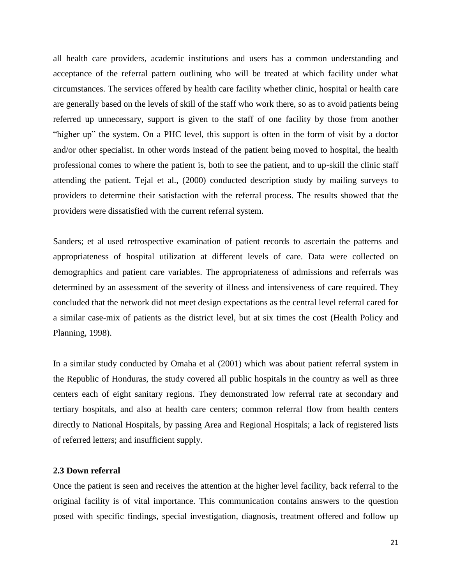all health care providers, academic institutions and users has a common understanding and acceptance of the referral pattern outlining who will be treated at which facility under what circumstances. The services offered by health care facility whether clinic, hospital or health care are generally based on the levels of skill of the staff who work there, so as to avoid patients being referred up unnecessary, support is given to the staff of one facility by those from another "higher up" the system. On a PHC level, this support is often in the form of visit by a doctor and/or other specialist. In other words instead of the patient being moved to hospital, the health professional comes to where the patient is, both to see the patient, and to up-skill the clinic staff attending the patient. Tejal et al., (2000) conducted description study by mailing surveys to providers to determine their satisfaction with the referral process. The results showed that the providers were dissatisfied with the current referral system.

Sanders; et al used retrospective examination of patient records to ascertain the patterns and appropriateness of hospital utilization at different levels of care. Data were collected on demographics and patient care variables. The appropriateness of admissions and referrals was determined by an assessment of the severity of illness and intensiveness of care required. They concluded that the network did not meet design expectations as the central level referral cared for a similar case-mix of patients as the district level, but at six times the cost (Health Policy and Planning, 1998).

In a similar study conducted by Omaha et al (2001) which was about patient referral system in the Republic of Honduras, the study covered all public hospitals in the country as well as three centers each of eight sanitary regions. They demonstrated low referral rate at secondary and tertiary hospitals, and also at health care centers; common referral flow from health centers directly to National Hospitals, by passing Area and Regional Hospitals; a lack of registered lists of referred letters; and insufficient supply.

## <span id="page-20-0"></span>**2.3 Down referral**

Once the patient is seen and receives the attention at the higher level facility, back referral to the original facility is of vital importance. This communication contains answers to the question posed with specific findings, special investigation, diagnosis, treatment offered and follow up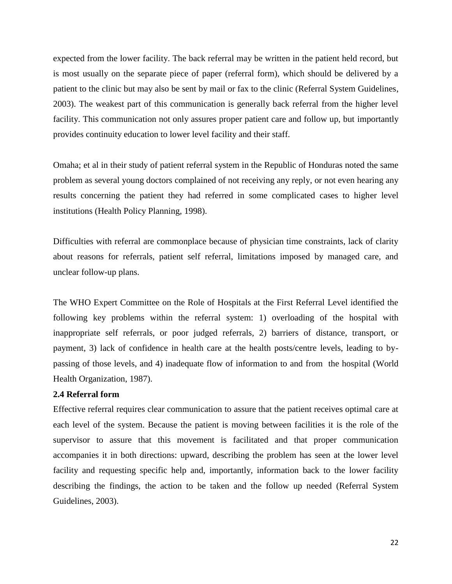expected from the lower facility. The back referral may be written in the patient held record, but is most usually on the separate piece of paper (referral form), which should be delivered by a patient to the clinic but may also be sent by mail or fax to the clinic (Referral System Guidelines, 2003). The weakest part of this communication is generally back referral from the higher level facility. This communication not only assures proper patient care and follow up, but importantly provides continuity education to lower level facility and their staff.

Omaha; et al in their study of patient referral system in the Republic of Honduras noted the same problem as several young doctors complained of not receiving any reply, or not even hearing any results concerning the patient they had referred in some complicated cases to higher level institutions (Health Policy Planning, 1998).

Difficulties with referral are commonplace because of physician time constraints, lack of clarity about reasons for referrals, patient self referral, limitations imposed by managed care, and unclear follow-up plans.

The WHO Expert Committee on the Role of Hospitals at the First Referral Level identified the following key problems within the referral system: 1) overloading of the hospital with inappropriate self referrals, or poor judged referrals, 2) barriers of distance, transport, or payment, 3) lack of confidence in health care at the health posts/centre levels, leading to bypassing of those levels, and 4) inadequate flow of information to and from the hospital (World Health Organization, 1987).

## <span id="page-21-0"></span>**2.4 Referral form**

Effective referral requires clear communication to assure that the patient receives optimal care at each level of the system. Because the patient is moving between facilities it is the role of the supervisor to assure that this movement is facilitated and that proper communication accompanies it in both directions: upward, describing the problem has seen at the lower level facility and requesting specific help and, importantly, information back to the lower facility describing the findings, the action to be taken and the follow up needed (Referral System Guidelines, 2003).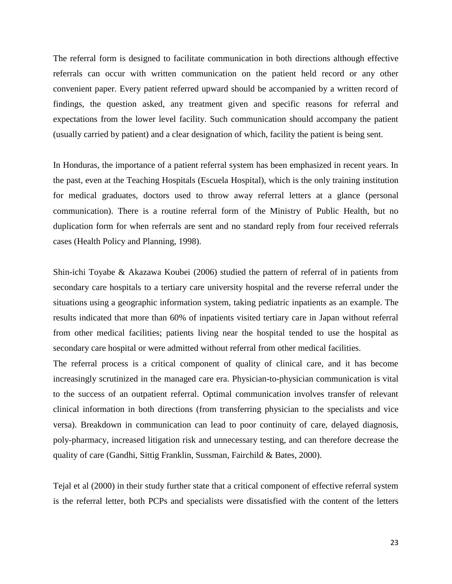The referral form is designed to facilitate communication in both directions although effective referrals can occur with written communication on the patient held record or any other convenient paper. Every patient referred upward should be accompanied by a written record of findings, the question asked, any treatment given and specific reasons for referral and expectations from the lower level facility. Such communication should accompany the patient (usually carried by patient) and a clear designation of which, facility the patient is being sent.

In Honduras, the importance of a patient referral system has been emphasized in recent years. In the past, even at the Teaching Hospitals (Escuela Hospital), which is the only training institution for medical graduates, doctors used to throw away referral letters at a glance (personal communication). There is a routine referral form of the Ministry of Public Health, but no duplication form for when referrals are sent and no standard reply from four received referrals cases (Health Policy and Planning, 1998).

Shin-ichi Toyabe & Akazawa Koubei (2006) studied the pattern of referral of in patients from secondary care hospitals to a tertiary care university hospital and the reverse referral under the situations using a geographic information system, taking pediatric inpatients as an example. The results indicated that more than 60% of inpatients visited tertiary care in Japan without referral from other medical facilities; patients living near the hospital tended to use the hospital as secondary care hospital or were admitted without referral from other medical facilities.

The referral process is a critical component of quality of clinical care, and it has become increasingly scrutinized in the managed care era. Physician-to-physician communication is vital to the success of an outpatient referral. Optimal communication involves transfer of relevant clinical information in both directions (from transferring physician to the specialists and vice versa). Breakdown in communication can lead to poor continuity of care, delayed diagnosis, poly-pharmacy, increased litigation risk and unnecessary testing, and can therefore decrease the quality of care (Gandhi, Sittig Franklin, Sussman, Fairchild & Bates, 2000).

Tejal et al (2000) in their study further state that a critical component of effective referral system is the referral letter, both PCPs and specialists were dissatisfied with the content of the letters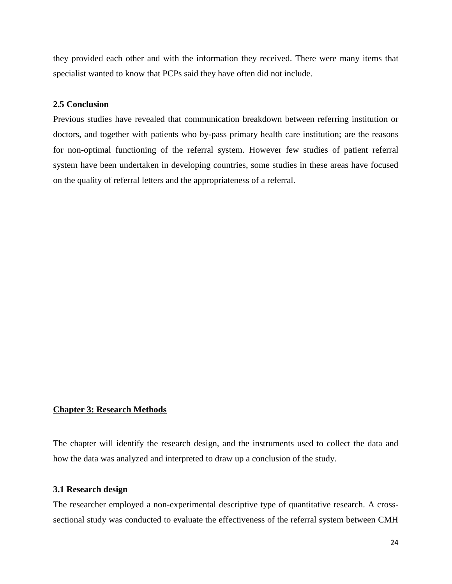they provided each other and with the information they received. There were many items that specialist wanted to know that PCPs said they have often did not include.

#### <span id="page-23-0"></span>**2.5 Conclusion**

Previous studies have revealed that communication breakdown between referring institution or doctors, and together with patients who by-pass primary health care institution; are the reasons for non-optimal functioning of the referral system. However few studies of patient referral system have been undertaken in developing countries, some studies in these areas have focused on the quality of referral letters and the appropriateness of a referral.

#### <span id="page-23-1"></span>**Chapter 3: Research Methods**

The chapter will identify the research design, and the instruments used to collect the data and how the data was analyzed and interpreted to draw up a conclusion of the study.

#### <span id="page-23-2"></span>**3.1 Research design**

The researcher employed a non-experimental descriptive type of quantitative research. A crosssectional study was conducted to evaluate the effectiveness of the referral system between CMH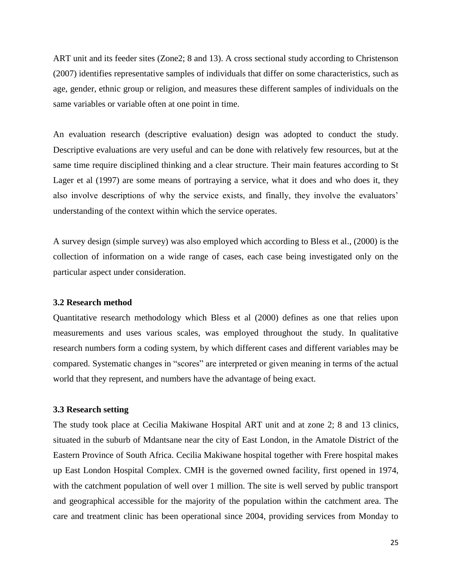ART unit and its feeder sites (Zone2; 8 and 13). A cross sectional study according to Christenson (2007) identifies representative samples of individuals that differ on some characteristics, such as age, gender, ethnic group or religion, and measures these different samples of individuals on the same variables or variable often at one point in time.

An evaluation research (descriptive evaluation) design was adopted to conduct the study. Descriptive evaluations are very useful and can be done with relatively few resources, but at the same time require disciplined thinking and a clear structure. Their main features according to St Lager et al (1997) are some means of portraying a service, what it does and who does it, they also involve descriptions of why the service exists, and finally, they involve the evaluators' understanding of the context within which the service operates.

A survey design (simple survey) was also employed which according to Bless et al., (2000) is the collection of information on a wide range of cases, each case being investigated only on the particular aspect under consideration.

#### <span id="page-24-0"></span>**3.2 Research method**

Quantitative research methodology which Bless et al (2000) defines as one that relies upon measurements and uses various scales, was employed throughout the study. In qualitative research numbers form a coding system, by which different cases and different variables may be compared. Systematic changes in "scores" are interpreted or given meaning in terms of the actual world that they represent, and numbers have the advantage of being exact.

#### **3.3 Research setting**

The study took place at Cecilia Makiwane Hospital ART unit and at zone 2; 8 and 13 clinics, situated in the suburb of Mdantsane near the city of East London, in the Amatole District of the Eastern Province of South Africa. Cecilia Makiwane hospital together with Frere hospital makes up East London Hospital Complex. CMH is the governed owned facility, first opened in 1974, with the catchment population of well over 1 million. The site is well served by public transport and geographical accessible for the majority of the population within the catchment area. The care and treatment clinic has been operational since 2004, providing services from Monday to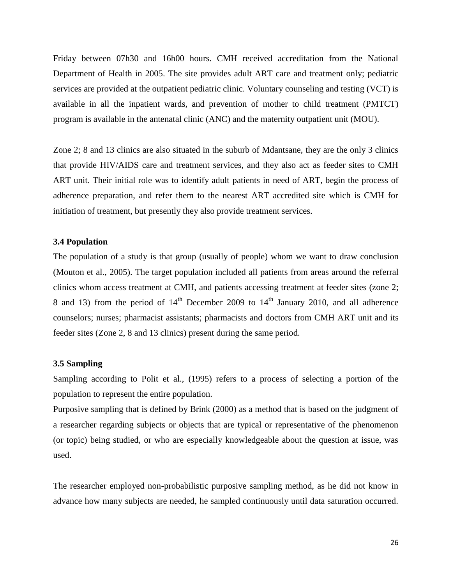Friday between 07h30 and 16h00 hours. CMH received accreditation from the National Department of Health in 2005. The site provides adult ART care and treatment only; pediatric services are provided at the outpatient pediatric clinic. Voluntary counseling and testing (VCT) is available in all the inpatient wards, and prevention of mother to child treatment (PMTCT) program is available in the antenatal clinic (ANC) and the maternity outpatient unit (MOU).

Zone 2; 8 and 13 clinics are also situated in the suburb of Mdantsane, they are the only 3 clinics that provide HIV/AIDS care and treatment services, and they also act as feeder sites to CMH ART unit. Their initial role was to identify adult patients in need of ART, begin the process of adherence preparation, and refer them to the nearest ART accredited site which is CMH for initiation of treatment, but presently they also provide treatment services.

#### <span id="page-25-0"></span>**3.4 Population**

The population of a study is that group (usually of people) whom we want to draw conclusion (Mouton et al., 2005). The target population included all patients from areas around the referral clinics whom access treatment at CMH, and patients accessing treatment at feeder sites (zone 2; 8 and 13) from the period of  $14<sup>th</sup>$  December 2009 to  $14<sup>th</sup>$  January 2010, and all adherence counselors; nurses; pharmacist assistants; pharmacists and doctors from CMH ART unit and its feeder sites (Zone 2, 8 and 13 clinics) present during the same period.

#### <span id="page-25-1"></span>**3.5 Sampling**

Sampling according to Polit et al., (1995) refers to a process of selecting a portion of the population to represent the entire population.

Purposive sampling that is defined by Brink (2000) as a method that is based on the judgment of a researcher regarding subjects or objects that are typical or representative of the phenomenon (or topic) being studied, or who are especially knowledgeable about the question at issue, was used.

The researcher employed non-probabilistic purposive sampling method, as he did not know in advance how many subjects are needed, he sampled continuously until data saturation occurred.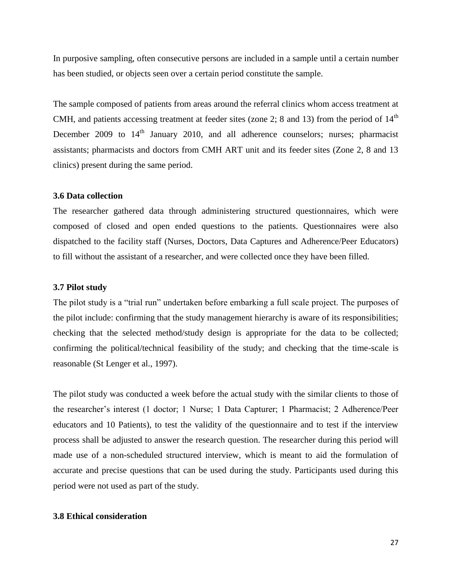In purposive sampling, often consecutive persons are included in a sample until a certain number has been studied, or objects seen over a certain period constitute the sample.

The sample composed of patients from areas around the referral clinics whom access treatment at CMH, and patients accessing treatment at feeder sites (zone 2; 8 and 13) from the period of  $14<sup>th</sup>$ December 2009 to  $14<sup>th</sup>$  January 2010, and all adherence counselors; nurses; pharmacist assistants; pharmacists and doctors from CMH ART unit and its feeder sites (Zone 2, 8 and 13 clinics) present during the same period.

#### <span id="page-26-0"></span>**3.6 Data collection**

The researcher gathered data through administering structured questionnaires, which were composed of closed and open ended questions to the patients. Questionnaires were also dispatched to the facility staff (Nurses, Doctors, Data Captures and Adherence/Peer Educators) to fill without the assistant of a researcher, and were collected once they have been filled.

#### <span id="page-26-1"></span>**3.7 Pilot study**

The pilot study is a "trial run" undertaken before embarking a full scale project. The purposes of the pilot include: confirming that the study management hierarchy is aware of its responsibilities; checking that the selected method/study design is appropriate for the data to be collected; confirming the political/technical feasibility of the study; and checking that the time-scale is reasonable (St Lenger et al., 1997).

The pilot study was conducted a week before the actual study with the similar clients to those of the researcher"s interest (1 doctor; 1 Nurse; 1 Data Capturer; 1 Pharmacist; 2 Adherence/Peer educators and 10 Patients), to test the validity of the questionnaire and to test if the interview process shall be adjusted to answer the research question. The researcher during this period will made use of a non-scheduled structured interview, which is meant to aid the formulation of accurate and precise questions that can be used during the study. Participants used during this period were not used as part of the study.

#### <span id="page-26-2"></span>**3.8 Ethical consideration**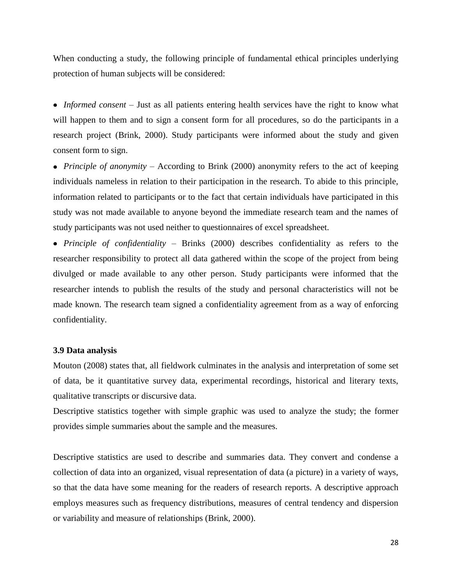When conducting a study, the following principle of fundamental ethical principles underlying protection of human subjects will be considered:

*Informed consent* – Just as all patients entering health services have the right to know what will happen to them and to sign a consent form for all procedures, so do the participants in a research project (Brink, 2000). Study participants were informed about the study and given consent form to sign.

*Principle of anonymity* – According to Brink (2000) anonymity refers to the act of keeping individuals nameless in relation to their participation in the research. To abide to this principle, information related to participants or to the fact that certain individuals have participated in this study was not made available to anyone beyond the immediate research team and the names of study participants was not used neither to questionnaires of excel spreadsheet.

*Principle of confidentiality* – Brinks (2000) describes confidentiality as refers to the researcher responsibility to protect all data gathered within the scope of the project from being divulged or made available to any other person. Study participants were informed that the researcher intends to publish the results of the study and personal characteristics will not be made known. The research team signed a confidentiality agreement from as a way of enforcing confidentiality.

#### <span id="page-27-0"></span>**3.9 Data analysis**

Mouton (2008) states that, all fieldwork culminates in the analysis and interpretation of some set of data, be it quantitative survey data, experimental recordings, historical and literary texts, qualitative transcripts or discursive data.

Descriptive statistics together with simple graphic was used to analyze the study; the former provides simple summaries about the sample and the measures.

Descriptive statistics are used to describe and summaries data. They convert and condense a collection of data into an organized, visual representation of data (a picture) in a variety of ways, so that the data have some meaning for the readers of research reports. A descriptive approach employs measures such as frequency distributions, measures of central tendency and dispersion or variability and measure of relationships (Brink, 2000).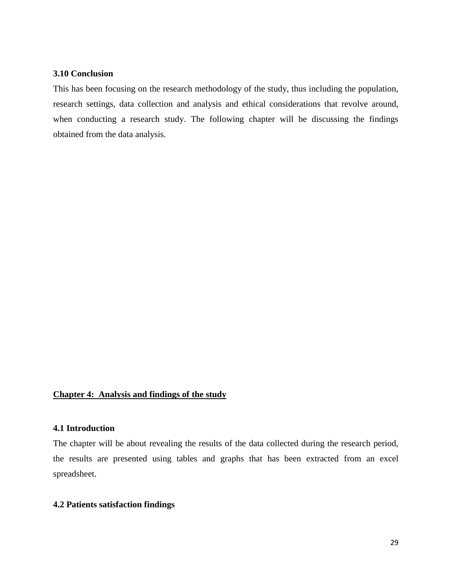## <span id="page-28-0"></span>**3.10 Conclusion**

This has been focusing on the research methodology of the study, thus including the population, research settings, data collection and analysis and ethical considerations that revolve around, when conducting a research study. The following chapter will be discussing the findings obtained from the data analysis.

# <span id="page-28-1"></span>**Chapter 4: Analysis and findings of the study**

#### <span id="page-28-2"></span>**4.1 Introduction**

The chapter will be about revealing the results of the data collected during the research period, the results are presented using tables and graphs that has been extracted from an excel spreadsheet.

## <span id="page-28-3"></span>**4.2 Patients satisfaction findings**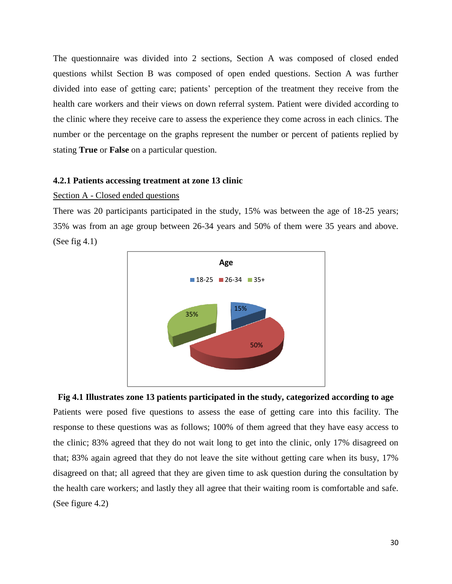The questionnaire was divided into 2 sections, Section A was composed of closed ended questions whilst Section B was composed of open ended questions. Section A was further divided into ease of getting care; patients' perception of the treatment they receive from the health care workers and their views on down referral system. Patient were divided according to the clinic where they receive care to assess the experience they come across in each clinics. The number or the percentage on the graphs represent the number or percent of patients replied by stating **True** or **False** on a particular question.

#### <span id="page-29-0"></span>**4.2.1 Patients accessing treatment at zone 13 clinic**

#### Section A - Closed ended questions

There was 20 participants participated in the study, 15% was between the age of 18-25 years; 35% was from an age group between 26-34 years and 50% of them were 35 years and above. (See fig 4.1)



**Fig 4.1 Illustrates zone 13 patients participated in the study, categorized according to age** Patients were posed five questions to assess the ease of getting care into this facility. The response to these questions was as follows; 100% of them agreed that they have easy access to the clinic; 83% agreed that they do not wait long to get into the clinic, only 17% disagreed on that; 83% again agreed that they do not leave the site without getting care when its busy, 17% disagreed on that; all agreed that they are given time to ask question during the consultation by the health care workers; and lastly they all agree that their waiting room is comfortable and safe. (See figure 4.2)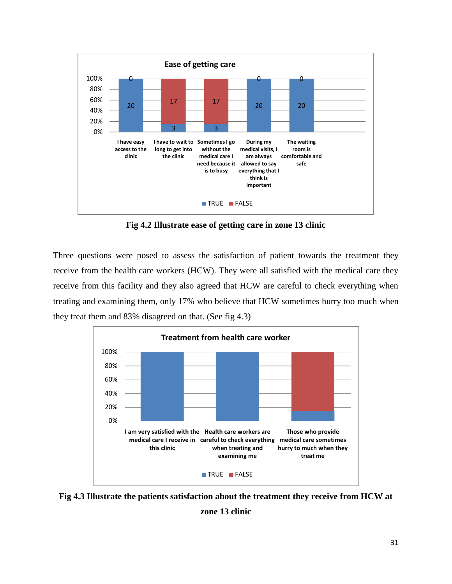

**Fig 4.2 Illustrate ease of getting care in zone 13 clinic**

Three questions were posed to assess the satisfaction of patient towards the treatment they receive from the health care workers (HCW). They were all satisfied with the medical care they receive from this facility and they also agreed that HCW are careful to check everything when treating and examining them, only 17% who believe that HCW sometimes hurry too much when they treat them and 83% disagreed on that. (See fig 4.3)



**Fig 4.3 Illustrate the patients satisfaction about the treatment they receive from HCW at zone 13 clinic**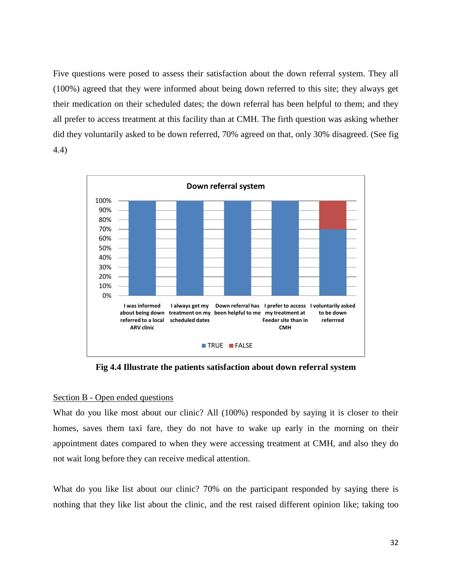Five questions were posed to assess their satisfaction about the down referral system. They all (100%) agreed that they were informed about being down referred to this site; they always get their medication on their scheduled dates; the down referral has been helpful to them; and they all prefer to access treatment at this facility than at CMH. The firth question was asking whether did they voluntarily asked to be down referred, 70% agreed on that, only 30% disagreed. (See fig 4.4)



**Fig 4.4 Illustrate the patients satisfaction about down referral system**

## Section B - Open ended questions

What do you like most about our clinic? All (100%) responded by saying it is closer to their homes, saves them taxi fare, they do not have to wake up early in the morning on their appointment dates compared to when they were accessing treatment at CMH, and also they do not wait long before they can receive medical attention.

What do you like list about our clinic? 70% on the participant responded by saying there is nothing that they like list about the clinic, and the rest raised different opinion like; taking too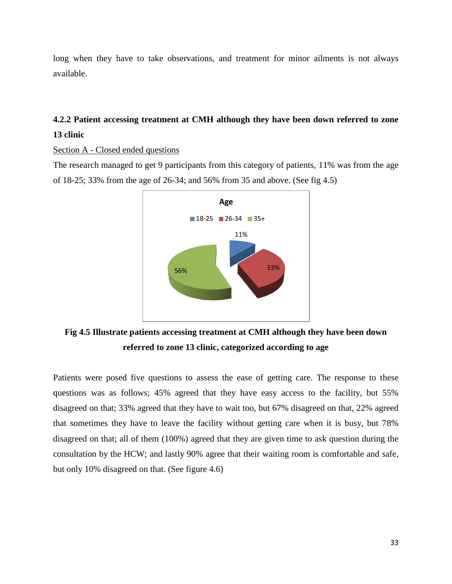long when they have to take observations, and treatment for minor ailments is not always available.

# <span id="page-32-0"></span>**4.2.2 Patient accessing treatment at CMH although they have been down referred to zone 13 clinic**

Section A - Closed ended questions

The research managed to get 9 participants from this category of patients, 11% was from the age of 18-25; 33% from the age of 26-34; and 56% from 35 and above. (See fig 4.5)



**Fig 4.5 Illustrate patients accessing treatment at CMH although they have been down referred to zone 13 clinic, categorized according to age**

Patients were posed five questions to assess the ease of getting care. The response to these questions was as follows; 45% agreed that they have easy access to the facility, but 55% disagreed on that; 33% agreed that they have to wait too, but 67% disagreed on that, 22% agreed that sometimes they have to leave the facility without getting care when it is busy, but 78% disagreed on that; all of them (100%) agreed that they are given time to ask question during the consultation by the HCW; and lastly 90% agree that their waiting room is comfortable and safe, but only 10% disagreed on that. (See figure 4.6)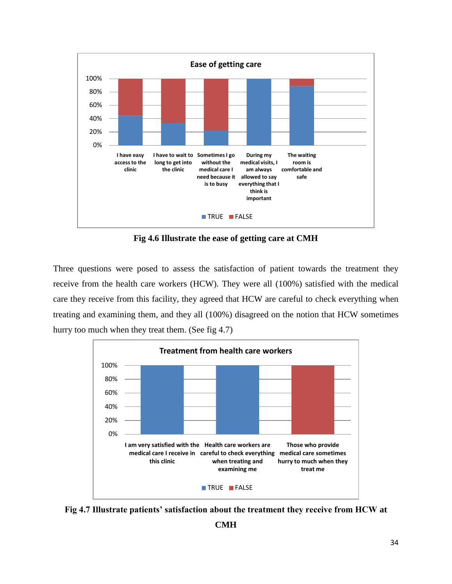

**Fig 4.6 Illustrate the ease of getting care at CMH**

Three questions were posed to assess the satisfaction of patient towards the treatment they receive from the health care workers (HCW). They were all (100%) satisfied with the medical care they receive from this facility, they agreed that HCW are careful to check everything when treating and examining them, and they all (100%) disagreed on the notion that HCW sometimes hurry too much when they treat them. (See fig 4.7)



**Fig 4.7 Illustrate patients' satisfaction about the treatment they receive from HCW at**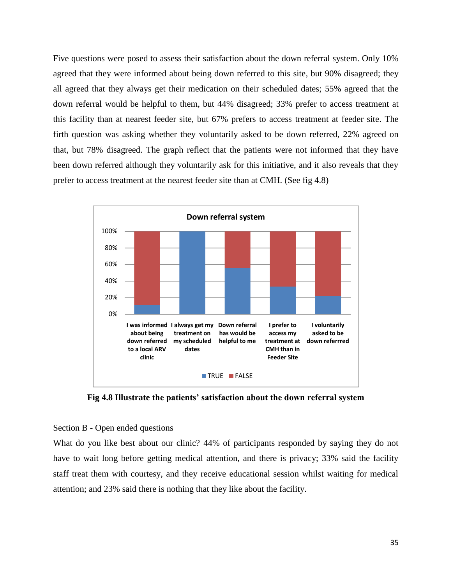Five questions were posed to assess their satisfaction about the down referral system. Only 10% agreed that they were informed about being down referred to this site, but 90% disagreed; they all agreed that they always get their medication on their scheduled dates; 55% agreed that the down referral would be helpful to them, but 44% disagreed; 33% prefer to access treatment at this facility than at nearest feeder site, but 67% prefers to access treatment at feeder site. The firth question was asking whether they voluntarily asked to be down referred, 22% agreed on that, but 78% disagreed. The graph reflect that the patients were not informed that they have been down referred although they voluntarily ask for this initiative, and it also reveals that they prefer to access treatment at the nearest feeder site than at CMH. (See fig 4.8)



**Fig 4.8 Illustrate the patients' satisfaction about the down referral system**

### Section B - Open ended questions

What do you like best about our clinic? 44% of participants responded by saying they do not have to wait long before getting medical attention, and there is privacy; 33% said the facility staff treat them with courtesy, and they receive educational session whilst waiting for medical attention; and 23% said there is nothing that they like about the facility.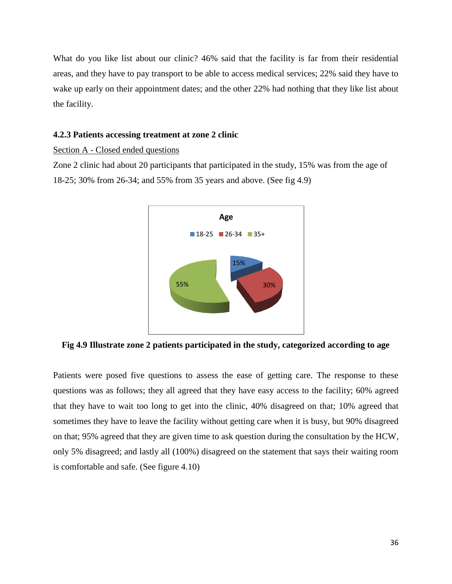What do you like list about our clinic? 46% said that the facility is far from their residential areas, and they have to pay transport to be able to access medical services; 22% said they have to wake up early on their appointment dates; and the other 22% had nothing that they like list about the facility.

#### <span id="page-35-0"></span>**4.2.3 Patients accessing treatment at zone 2 clinic**

Section A - Closed ended questions

Zone 2 clinic had about 20 participants that participated in the study, 15% was from the age of 18-25; 30% from 26-34; and 55% from 35 years and above. (See fig 4.9)



**Fig 4.9 Illustrate zone 2 patients participated in the study, categorized according to age**

Patients were posed five questions to assess the ease of getting care. The response to these questions was as follows; they all agreed that they have easy access to the facility; 60% agreed that they have to wait too long to get into the clinic, 40% disagreed on that; 10% agreed that sometimes they have to leave the facility without getting care when it is busy, but 90% disagreed on that; 95% agreed that they are given time to ask question during the consultation by the HCW, only 5% disagreed; and lastly all (100%) disagreed on the statement that says their waiting room is comfortable and safe. (See figure 4.10)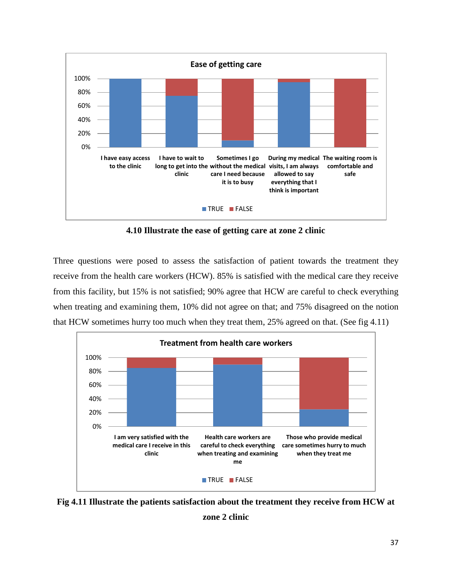

**4.10 Illustrate the ease of getting care at zone 2 clinic**

Three questions were posed to assess the satisfaction of patient towards the treatment they receive from the health care workers (HCW). 85% is satisfied with the medical care they receive from this facility, but 15% is not satisfied; 90% agree that HCW are careful to check everything when treating and examining them, 10% did not agree on that; and 75% disagreed on the notion that HCW sometimes hurry too much when they treat them, 25% agreed on that. (See fig 4.11)



**Fig 4.11 Illustrate the patients satisfaction about the treatment they receive from HCW at** 

**zone 2 clinic**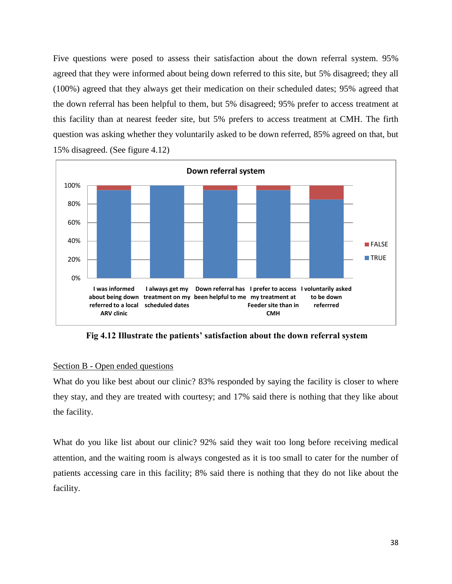Five questions were posed to assess their satisfaction about the down referral system. 95% agreed that they were informed about being down referred to this site, but 5% disagreed; they all (100%) agreed that they always get their medication on their scheduled dates; 95% agreed that the down referral has been helpful to them, but 5% disagreed; 95% prefer to access treatment at this facility than at nearest feeder site, but 5% prefers to access treatment at CMH. The firth question was asking whether they voluntarily asked to be down referred, 85% agreed on that, but 15% disagreed. (See figure 4.12)



**Fig 4.12 Illustrate the patients' satisfaction about the down referral system**

## Section B - Open ended questions

What do you like best about our clinic? 83% responded by saying the facility is closer to where they stay, and they are treated with courtesy; and 17% said there is nothing that they like about the facility.

What do you like list about our clinic? 92% said they wait too long before receiving medical attention, and the waiting room is always congested as it is too small to cater for the number of patients accessing care in this facility; 8% said there is nothing that they do not like about the facility.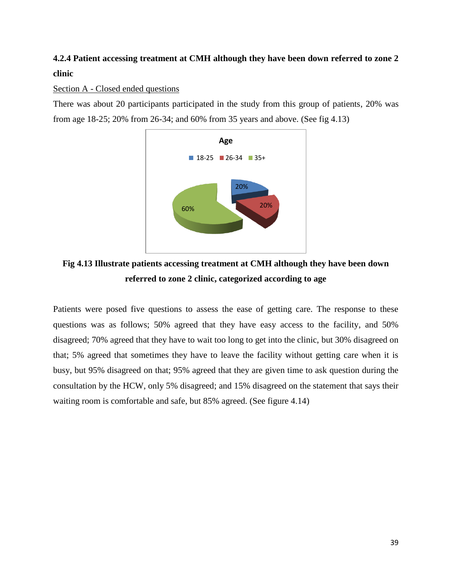# <span id="page-38-0"></span>**4.2.4 Patient accessing treatment at CMH although they have been down referred to zone 2 clinic**

# Section A - Closed ended questions

There was about 20 participants participated in the study from this group of patients, 20% was from age 18-25; 20% from 26-34; and 60% from 35 years and above. (See fig 4.13)



# **Fig 4.13 Illustrate patients accessing treatment at CMH although they have been down referred to zone 2 clinic, categorized according to age**

Patients were posed five questions to assess the ease of getting care. The response to these questions was as follows; 50% agreed that they have easy access to the facility, and 50% disagreed; 70% agreed that they have to wait too long to get into the clinic, but 30% disagreed on that; 5% agreed that sometimes they have to leave the facility without getting care when it is busy, but 95% disagreed on that; 95% agreed that they are given time to ask question during the consultation by the HCW, only 5% disagreed; and 15% disagreed on the statement that says their waiting room is comfortable and safe, but 85% agreed. (See figure 4.14)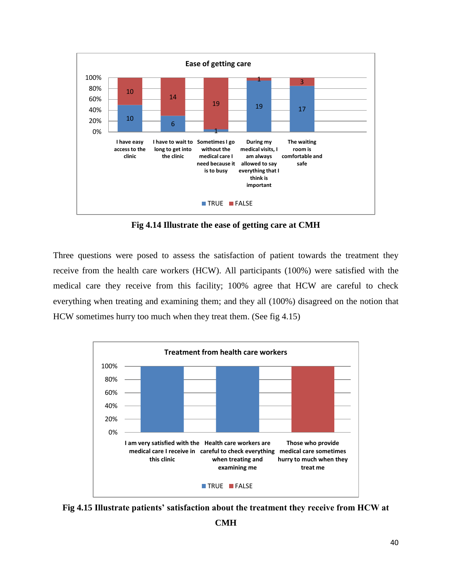

**Fig 4.14 Illustrate the ease of getting care at CMH**

Three questions were posed to assess the satisfaction of patient towards the treatment they receive from the health care workers (HCW). All participants (100%) were satisfied with the medical care they receive from this facility; 100% agree that HCW are careful to check everything when treating and examining them; and they all (100%) disagreed on the notion that HCW sometimes hurry too much when they treat them. (See fig 4.15)



**Fig 4.15 Illustrate patients' satisfaction about the treatment they receive from HCW at**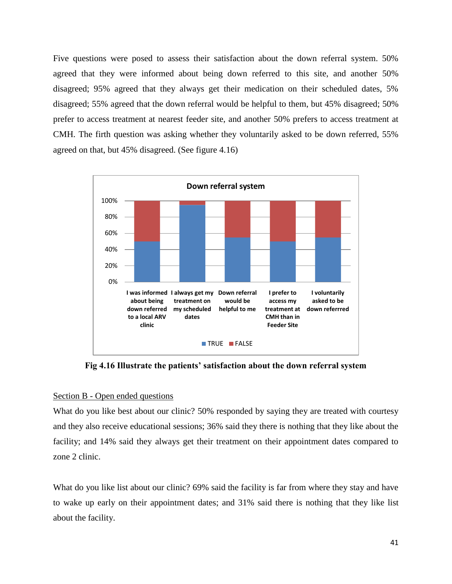Five questions were posed to assess their satisfaction about the down referral system. 50% agreed that they were informed about being down referred to this site, and another 50% disagreed; 95% agreed that they always get their medication on their scheduled dates, 5% disagreed; 55% agreed that the down referral would be helpful to them, but 45% disagreed; 50% prefer to access treatment at nearest feeder site, and another 50% prefers to access treatment at CMH. The firth question was asking whether they voluntarily asked to be down referred, 55% agreed on that, but 45% disagreed. (See figure 4.16)



**Fig 4.16 Illustrate the patients' satisfaction about the down referral system**

#### Section B - Open ended questions

What do you like best about our clinic? 50% responded by saying they are treated with courtesy and they also receive educational sessions; 36% said they there is nothing that they like about the facility; and 14% said they always get their treatment on their appointment dates compared to zone 2 clinic.

What do you like list about our clinic? 69% said the facility is far from where they stay and have to wake up early on their appointment dates; and 31% said there is nothing that they like list about the facility.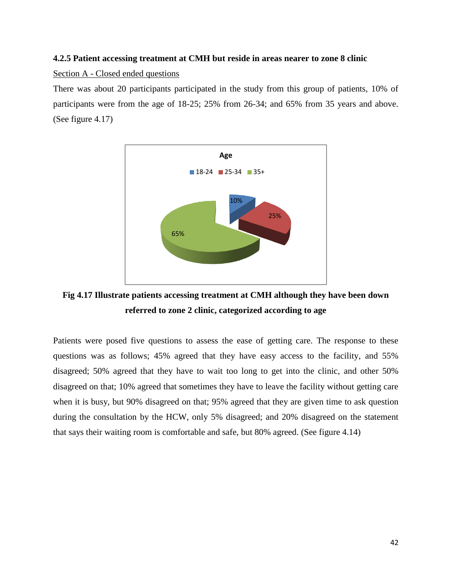## <span id="page-41-0"></span>**4.2.5 Patient accessing treatment at CMH but reside in areas nearer to zone 8 clinic**

Section A - Closed ended questions

There was about 20 participants participated in the study from this group of patients, 10% of participants were from the age of 18-25; 25% from 26-34; and 65% from 35 years and above. (See figure 4.17)



**Fig 4.17 Illustrate patients accessing treatment at CMH although they have been down referred to zone 2 clinic, categorized according to age**

Patients were posed five questions to assess the ease of getting care. The response to these questions was as follows; 45% agreed that they have easy access to the facility, and 55% disagreed; 50% agreed that they have to wait too long to get into the clinic, and other 50% disagreed on that; 10% agreed that sometimes they have to leave the facility without getting care when it is busy, but 90% disagreed on that; 95% agreed that they are given time to ask question during the consultation by the HCW, only 5% disagreed; and 20% disagreed on the statement that says their waiting room is comfortable and safe, but 80% agreed. (See figure 4.14)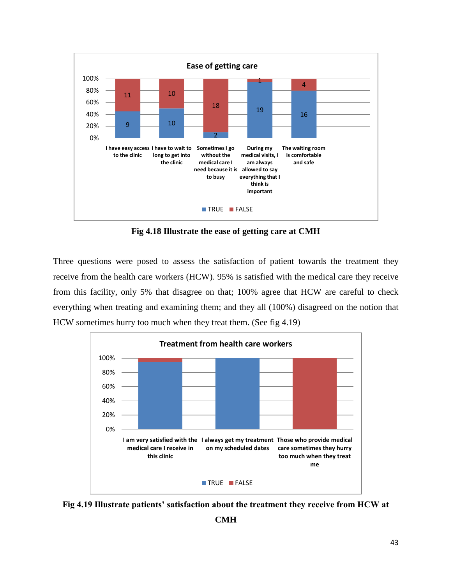

**Fig 4.18 Illustrate the ease of getting care at CMH**

Three questions were posed to assess the satisfaction of patient towards the treatment they receive from the health care workers (HCW). 95% is satisfied with the medical care they receive from this facility, only 5% that disagree on that; 100% agree that HCW are careful to check everything when treating and examining them; and they all (100%) disagreed on the notion that HCW sometimes hurry too much when they treat them. (See fig 4.19)



**Fig 4.19 Illustrate patients' satisfaction about the treatment they receive from HCW at** 

**CMH**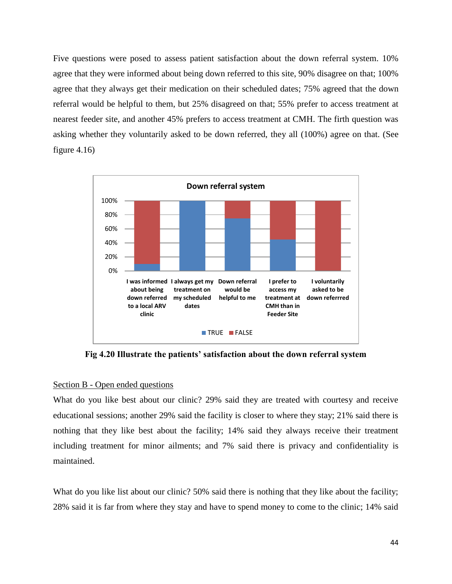Five questions were posed to assess patient satisfaction about the down referral system. 10% agree that they were informed about being down referred to this site, 90% disagree on that; 100% agree that they always get their medication on their scheduled dates; 75% agreed that the down referral would be helpful to them, but 25% disagreed on that; 55% prefer to access treatment at nearest feeder site, and another 45% prefers to access treatment at CMH. The firth question was asking whether they voluntarily asked to be down referred, they all (100%) agree on that. (See figure  $4.16$ )



**Fig 4.20 Illustrate the patients' satisfaction about the down referral system**

#### Section B - Open ended questions

What do you like best about our clinic? 29% said they are treated with courtesy and receive educational sessions; another 29% said the facility is closer to where they stay; 21% said there is nothing that they like best about the facility; 14% said they always receive their treatment including treatment for minor ailments; and 7% said there is privacy and confidentiality is maintained.

What do you like list about our clinic? 50% said there is nothing that they like about the facility; 28% said it is far from where they stay and have to spend money to come to the clinic; 14% said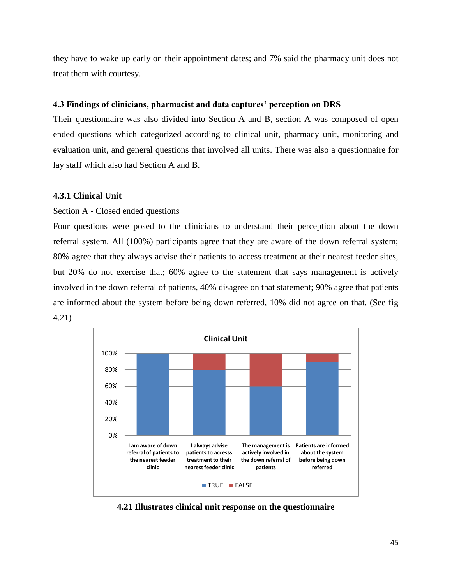they have to wake up early on their appointment dates; and 7% said the pharmacy unit does not treat them with courtesy.

## <span id="page-44-0"></span>**4.3 Findings of clinicians, pharmacist and data captures' perception on DRS**

Their questionnaire was also divided into Section A and B, section A was composed of open ended questions which categorized according to clinical unit, pharmacy unit, monitoring and evaluation unit, and general questions that involved all units. There was also a questionnaire for lay staff which also had Section A and B.

## <span id="page-44-1"></span>**4.3.1 Clinical Unit**

## Section A - Closed ended questions

Four questions were posed to the clinicians to understand their perception about the down referral system. All (100%) participants agree that they are aware of the down referral system; 80% agree that they always advise their patients to access treatment at their nearest feeder sites, but 20% do not exercise that; 60% agree to the statement that says management is actively involved in the down referral of patients, 40% disagree on that statement; 90% agree that patients are informed about the system before being down referred, 10% did not agree on that. (See fig 4.21)



**4.21 Illustrates clinical unit response on the questionnaire**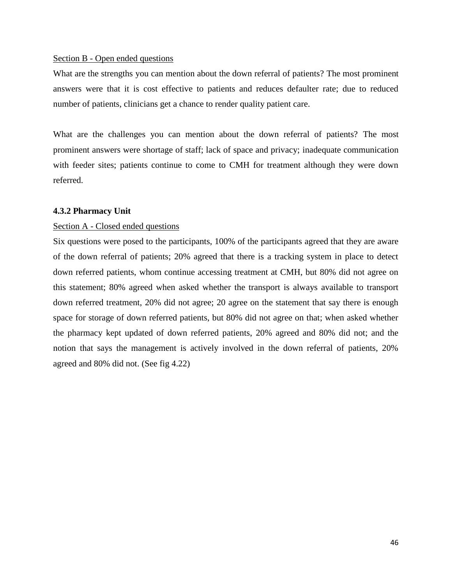#### Section B - Open ended questions

What are the strengths you can mention about the down referral of patients? The most prominent answers were that it is cost effective to patients and reduces defaulter rate; due to reduced number of patients, clinicians get a chance to render quality patient care.

What are the challenges you can mention about the down referral of patients? The most prominent answers were shortage of staff; lack of space and privacy; inadequate communication with feeder sites; patients continue to come to CMH for treatment although they were down referred.

#### <span id="page-45-0"></span>**4.3.2 Pharmacy Unit**

#### Section A - Closed ended questions

Six questions were posed to the participants, 100% of the participants agreed that they are aware of the down referral of patients; 20% agreed that there is a tracking system in place to detect down referred patients, whom continue accessing treatment at CMH, but 80% did not agree on this statement; 80% agreed when asked whether the transport is always available to transport down referred treatment, 20% did not agree; 20 agree on the statement that say there is enough space for storage of down referred patients, but 80% did not agree on that; when asked whether the pharmacy kept updated of down referred patients, 20% agreed and 80% did not; and the notion that says the management is actively involved in the down referral of patients, 20% agreed and 80% did not. (See fig 4.22)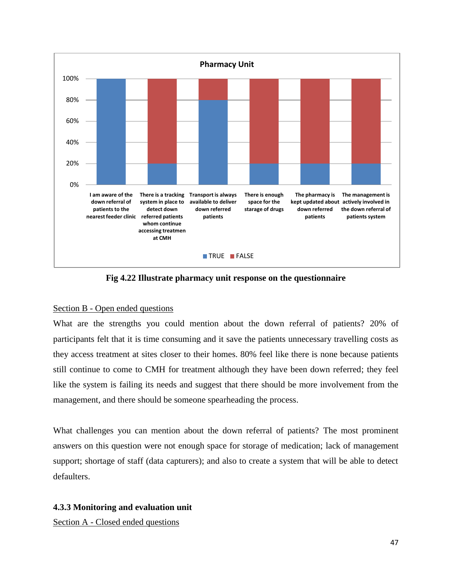

**Fig 4.22 Illustrate pharmacy unit response on the questionnaire**

## Section B - Open ended questions

What are the strengths you could mention about the down referral of patients? 20% of participants felt that it is time consuming and it save the patients unnecessary travelling costs as they access treatment at sites closer to their homes. 80% feel like there is none because patients still continue to come to CMH for treatment although they have been down referred; they feel like the system is failing its needs and suggest that there should be more involvement from the management, and there should be someone spearheading the process.

What challenges you can mention about the down referral of patients? The most prominent answers on this question were not enough space for storage of medication; lack of management support; shortage of staff (data capturers); and also to create a system that will be able to detect defaulters.

# <span id="page-46-0"></span>**4.3.3 Monitoring and evaluation unit**

Section A - Closed ended questions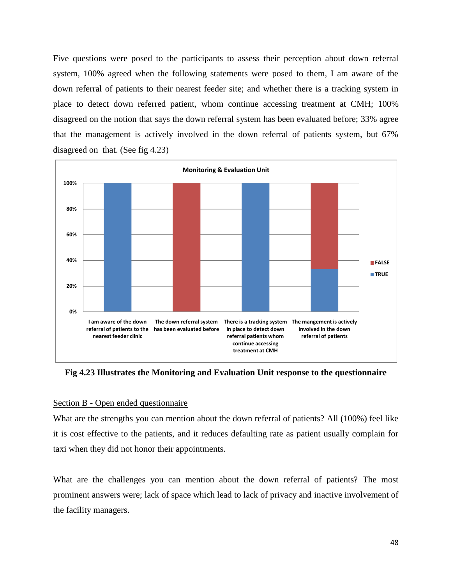Five questions were posed to the participants to assess their perception about down referral system, 100% agreed when the following statements were posed to them, I am aware of the down referral of patients to their nearest feeder site; and whether there is a tracking system in place to detect down referred patient, whom continue accessing treatment at CMH; 100% disagreed on the notion that says the down referral system has been evaluated before; 33% agree that the management is actively involved in the down referral of patients system, but 67% disagreed on that. (See fig 4.23)



**Fig 4.23 Illustrates the Monitoring and Evaluation Unit response to the questionnaire**

## Section B - Open ended questionnaire

What are the strengths you can mention about the down referral of patients? All (100%) feel like it is cost effective to the patients, and it reduces defaulting rate as patient usually complain for taxi when they did not honor their appointments.

What are the challenges you can mention about the down referral of patients? The most prominent answers were; lack of space which lead to lack of privacy and inactive involvement of the facility managers.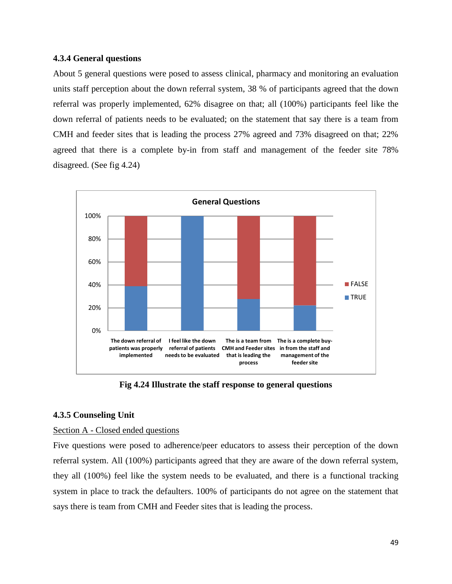## **4.3.4 General questions**

About 5 general questions were posed to assess clinical, pharmacy and monitoring an evaluation units staff perception about the down referral system, 38 % of participants agreed that the down referral was properly implemented, 62% disagree on that; all (100%) participants feel like the down referral of patients needs to be evaluated; on the statement that say there is a team from CMH and feeder sites that is leading the process 27% agreed and 73% disagreed on that; 22% agreed that there is a complete by-in from staff and management of the feeder site 78% disagreed. (See fig 4.24)



**Fig 4.24 Illustrate the staff response to general questions**

## <span id="page-48-0"></span>**4.3.5 Counseling Unit**

## Section A - Closed ended questions

Five questions were posed to adherence/peer educators to assess their perception of the down referral system. All (100%) participants agreed that they are aware of the down referral system, they all (100%) feel like the system needs to be evaluated, and there is a functional tracking system in place to track the defaulters. 100% of participants do not agree on the statement that says there is team from CMH and Feeder sites that is leading the process.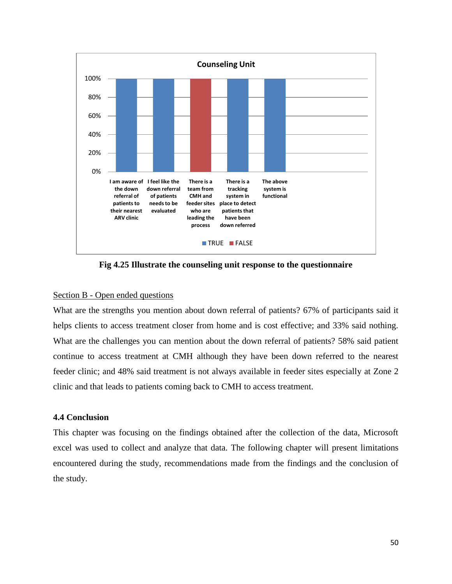

**Fig 4.25 Illustrate the counseling unit response to the questionnaire**

## Section B - Open ended questions

What are the strengths you mention about down referral of patients? 67% of participants said it helps clients to access treatment closer from home and is cost effective; and 33% said nothing. What are the challenges you can mention about the down referral of patients? 58% said patient continue to access treatment at CMH although they have been down referred to the nearest feeder clinic; and 48% said treatment is not always available in feeder sites especially at Zone 2 clinic and that leads to patients coming back to CMH to access treatment.

## <span id="page-49-0"></span>**4.4 Conclusion**

This chapter was focusing on the findings obtained after the collection of the data, Microsoft excel was used to collect and analyze that data. The following chapter will present limitations encountered during the study, recommendations made from the findings and the conclusion of the study.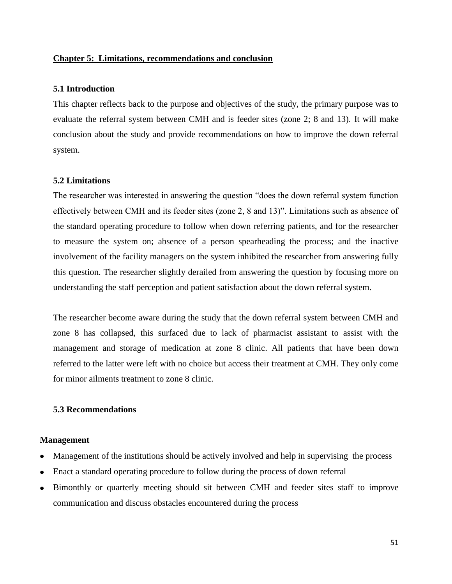## <span id="page-50-0"></span>**Chapter 5: Limitations, recommendations and conclusion**

## <span id="page-50-1"></span>**5.1 Introduction**

This chapter reflects back to the purpose and objectives of the study, the primary purpose was to evaluate the referral system between CMH and is feeder sites (zone 2; 8 and 13). It will make conclusion about the study and provide recommendations on how to improve the down referral system.

## <span id="page-50-2"></span>**5.2 Limitations**

The researcher was interested in answering the question "does the down referral system function effectively between CMH and its feeder sites (zone 2, 8 and 13)". Limitations such as absence of the standard operating procedure to follow when down referring patients, and for the researcher to measure the system on; absence of a person spearheading the process; and the inactive involvement of the facility managers on the system inhibited the researcher from answering fully this question. The researcher slightly derailed from answering the question by focusing more on understanding the staff perception and patient satisfaction about the down referral system.

The researcher become aware during the study that the down referral system between CMH and zone 8 has collapsed, this surfaced due to lack of pharmacist assistant to assist with the management and storage of medication at zone 8 clinic. All patients that have been down referred to the latter were left with no choice but access their treatment at CMH. They only come for minor ailments treatment to zone 8 clinic.

# <span id="page-50-3"></span>**5.3 Recommendations**

#### **Management**

- Management of the institutions should be actively involved and help in supervising the process
- Enact a standard operating procedure to follow during the process of down referral
- Bimonthly or quarterly meeting should sit between CMH and feeder sites staff to improve  $\bullet$ communication and discuss obstacles encountered during the process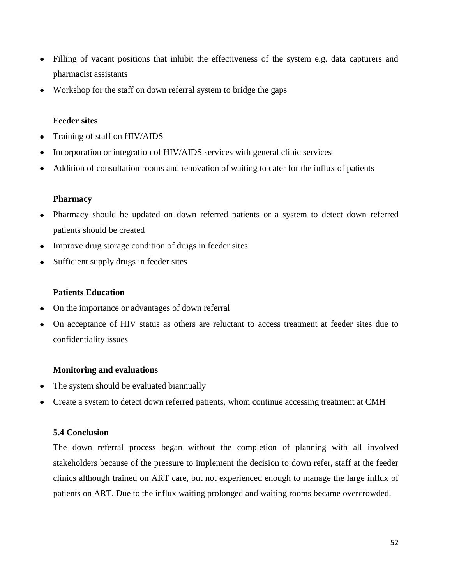- Filling of vacant positions that inhibit the effectiveness of the system e.g. data capturers and  $\bullet$ pharmacist assistants
- Workshop for the staff on down referral system to bridge the gaps  $\bullet$

## **Feeder sites**

- Training of staff on HIV/AIDS  $\bullet$
- Incorporation or integration of HIV/AIDS services with general clinic services
- Addition of consultation rooms and renovation of waiting to cater for the influx of patients

## **Pharmacy**

- Pharmacy should be updated on down referred patients or a system to detect down referred  $\bullet$ patients should be created
- Improve drug storage condition of drugs in feeder sites  $\bullet$
- Sufficient supply drugs in feeder sites

## **Patients Education**

- On the importance or advantages of down referral  $\bullet$
- On acceptance of HIV status as others are reluctant to access treatment at feeder sites due to confidentiality issues

## **Monitoring and evaluations**

- The system should be evaluated biannually
- Create a system to detect down referred patients, whom continue accessing treatment at CMH

## <span id="page-51-0"></span>**5.4 Conclusion**

The down referral process began without the completion of planning with all involved stakeholders because of the pressure to implement the decision to down refer, staff at the feeder clinics although trained on ART care, but not experienced enough to manage the large influx of patients on ART. Due to the influx waiting prolonged and waiting rooms became overcrowded.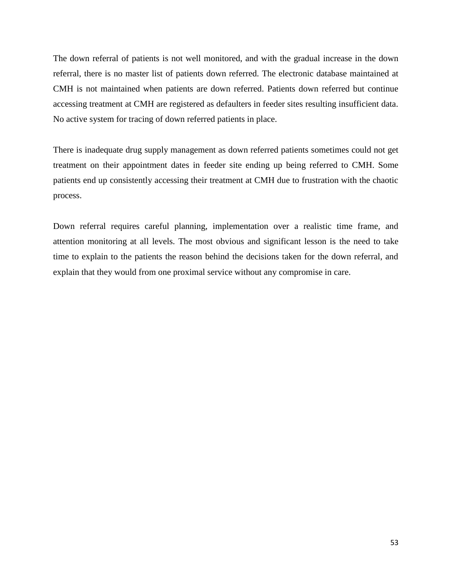The down referral of patients is not well monitored, and with the gradual increase in the down referral, there is no master list of patients down referred. The electronic database maintained at CMH is not maintained when patients are down referred. Patients down referred but continue accessing treatment at CMH are registered as defaulters in feeder sites resulting insufficient data. No active system for tracing of down referred patients in place.

There is inadequate drug supply management as down referred patients sometimes could not get treatment on their appointment dates in feeder site ending up being referred to CMH. Some patients end up consistently accessing their treatment at CMH due to frustration with the chaotic process.

Down referral requires careful planning, implementation over a realistic time frame, and attention monitoring at all levels. The most obvious and significant lesson is the need to take time to explain to the patients the reason behind the decisions taken for the down referral, and explain that they would from one proximal service without any compromise in care.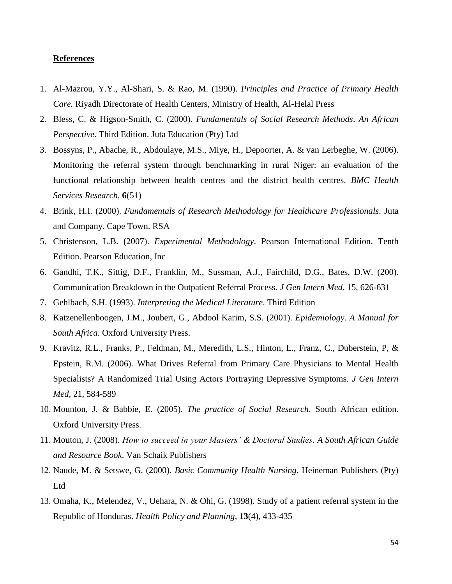#### <span id="page-53-0"></span>**References**

- 1. Al-Mazrou, Y.Y., Al-Shari, S. & Rao, M. (1990). *Principles and Practice of Primary Health Care.* Riyadh Directorate of Health Centers, Ministry of Health, Al-Helal Press
- 2. Bless, C. & Higson-Smith, C. (2000). *Fundamentals of Social Research Methods*. *An African Perspective*. Third Edition. Juta Education (Pty) Ltd
- 3. Bossyns, P., Abache, R., Abdoulaye, M.S., Miye, H., Depoorter, A. & van Lerbeghe, W. (2006). Monitoring the referral system through benchmarking in rural Niger: an evaluation of the functional relationship between health centres and the district health centres. *BMC Health Services Research*, **6**(51)
- 4. Brink, H.I. (2000). *Fundamentals of Research Methodology for Healthcare Professionals*. Juta and Company. Cape Town. RSA
- 5. Christenson, L.B. (2007). *Experimental Methodology*. Pearson International Edition. Tenth Edition. Pearson Education, Inc
- 6. Gandhi, T.K., Sittig, D.F., Franklin, M., Sussman, A.J., Fairchild, D.G., Bates, D.W. (200). Communication Breakdown in the Outpatient Referral Process. *J Gen Intern Med,* 15, 626-631
- 7. Gehlbach, S.H. (1993). *Interpreting the Medical Literature*. Third Edition
- 8. Katzenellenboogen, J.M., Joubert, G., Abdool Karim, S.S. (2001). *Epidemiology. A Manual for South Africa*. Oxford University Press.
- 9. Kravitz, R.L., Franks, P., Feldman, M., Meredith, L.S., Hinton, L., Franz, C., Duberstein, P, & Epstein, R.M. (2006). What Drives Referral from Primary Care Physicians to Mental Health Specialists? A Randomized Trial Using Actors Portraying Depressive Symptoms. *J Gen Intern Med,* 21, 584-589
- 10. Mounton, J. & Babbie, E. (2005). *The practice of Social Research*. South African edition. Oxford University Press.
- 11. Mouton, J. (2008). *How to succeed in your Masters' & Doctoral Studies*. *A South African Guide and Resource Book*. Van Schaik Publishers
- 12. Naude, M. & Setswe, G. (2000). *Basic Community Health Nursing*. Heineman Publishers (Pty) Ltd
- 13. Omaha, K., Melendez, V., Uehara, N. & Ohi, G. (1998). Study of a patient referral system in the Republic of Honduras. *Health Policy and Planning,* **13**(4), 433-435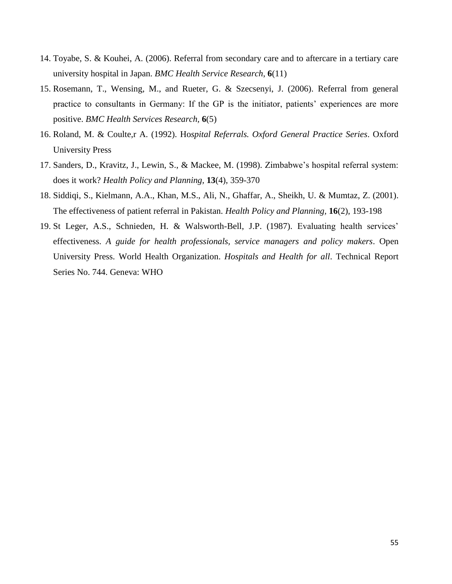- 14. Toyabe, S. & Kouhei, A. (2006). Referral from secondary care and to aftercare in a tertiary care university hospital in Japan. *BMC Health Service Research*, **6**(11)
- 15. Rosemann, T., Wensing, M., and Rueter, G. & Szecsenyi, J. (2006). Referral from general practice to consultants in Germany: If the GP is the initiator, patients" experiences are more positive. *BMC Health Services Research,* **6**(5)
- 16. Roland, M. & Coulte,r A. (1992). Ho*spital Referrals. Oxford General Practice Series*. Oxford University Press
- 17. Sanders, D., Kravitz, J., Lewin, S., & Mackee, M. (1998). Zimbabwe"s hospital referral system: does it work? *Health Policy and Planning,* **13**(4), 359-370
- 18. Siddiqi, S., Kielmann, A.A., Khan, M.S., Ali, N., Ghaffar, A., Sheikh, U. & Mumtaz, Z. (2001). The effectiveness of patient referral in Pakistan. *Health Policy and Planning,* **16**(2), 193-198
- 19. St Leger, A.S., Schnieden, H. & Walsworth-Bell, J.P. (1987). Evaluating health services' effectiveness. *A guide for health professionals, service managers and policy makers*. Open University Press. World Health Organization. *Hospitals and Health for all*. Technical Report Series No. 744. Geneva: WHO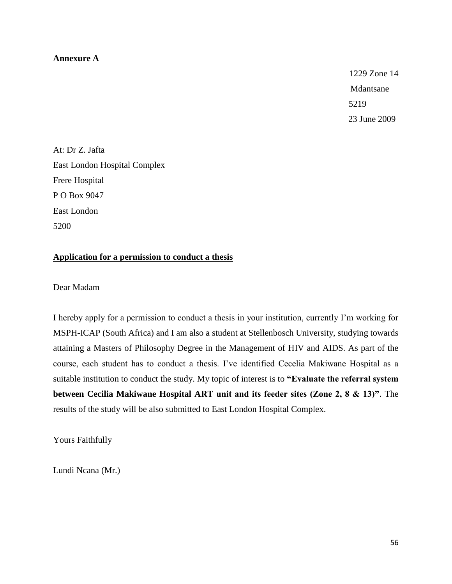#### **Annexure A**

1229 Zone 14 Mdantsane Mantsane 5219 23 June 2009

At: Dr Z. Jafta East London Hospital Complex Frere Hospital P O Box 9047 East London 5200

# **Application for a permission to conduct a thesis**

Dear Madam

I hereby apply for a permission to conduct a thesis in your institution, currently I"m working for MSPH-ICAP (South Africa) and I am also a student at Stellenbosch University, studying towards attaining a Masters of Philosophy Degree in the Management of HIV and AIDS. As part of the course, each student has to conduct a thesis. I"ve identified Cecelia Makiwane Hospital as a suitable institution to conduct the study. My topic of interest is to **"Evaluate the referral system between Cecilia Makiwane Hospital ART unit and its feeder sites (Zone 2, 8 & 13)"**. The results of the study will be also submitted to East London Hospital Complex.

Yours Faithfully

Lundi Ncana (Mr.)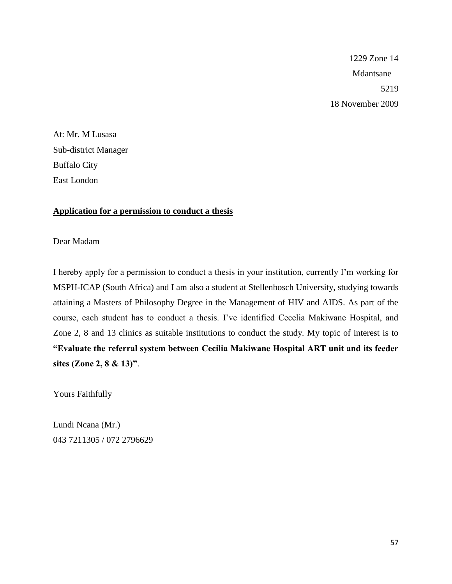1229 Zone 14 Mdantsane 5219 18 November 2009

At: Mr. M Lusasa Sub-district Manager Buffalo City East London

## **Application for a permission to conduct a thesis**

Dear Madam

I hereby apply for a permission to conduct a thesis in your institution, currently I"m working for MSPH-ICAP (South Africa) and I am also a student at Stellenbosch University, studying towards attaining a Masters of Philosophy Degree in the Management of HIV and AIDS. As part of the course, each student has to conduct a thesis. I"ve identified Cecelia Makiwane Hospital, and Zone 2, 8 and 13 clinics as suitable institutions to conduct the study. My topic of interest is to **"Evaluate the referral system between Cecilia Makiwane Hospital ART unit and its feeder sites (Zone 2, 8 & 13)"**.

Yours Faithfully

Lundi Ncana (Mr.) 043 7211305 / 072 2796629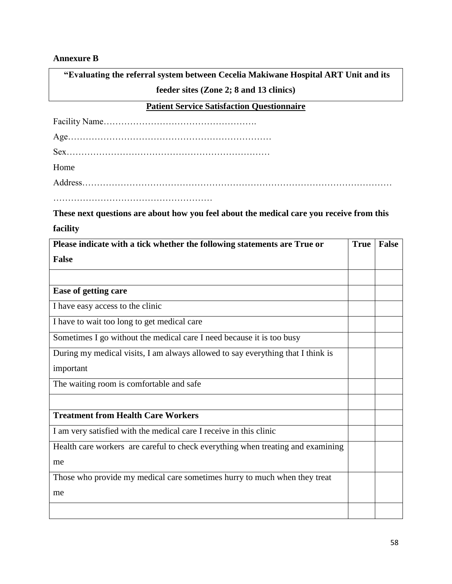# **Annexure B**

**"Evaluating the referral system between Cecelia Makiwane Hospital ART Unit and its feeder sites (Zone 2; 8 and 13 clinics)**

# **Patient Service Satisfaction Questionnaire**

| Home |  |
|------|--|
|      |  |
|      |  |

**These next questions are about how you feel about the medical care you receive from this facility**

| Please indicate with a tick whether the following statements are True or        | <b>True</b> | <b>False</b> |
|---------------------------------------------------------------------------------|-------------|--------------|
| <b>False</b>                                                                    |             |              |
|                                                                                 |             |              |
| Ease of getting care                                                            |             |              |
| I have easy access to the clinic                                                |             |              |
| I have to wait too long to get medical care                                     |             |              |
| Sometimes I go without the medical care I need because it is too busy           |             |              |
| During my medical visits, I am always allowed to say everything that I think is |             |              |
| important                                                                       |             |              |
| The waiting room is comfortable and safe                                        |             |              |
|                                                                                 |             |              |
| <b>Treatment from Health Care Workers</b>                                       |             |              |
| I am very satisfied with the medical care I receive in this clinic              |             |              |
| Health care workers are careful to check everything when treating and examining |             |              |
| me                                                                              |             |              |
| Those who provide my medical care sometimes hurry to much when they treat       |             |              |
| me                                                                              |             |              |
|                                                                                 |             |              |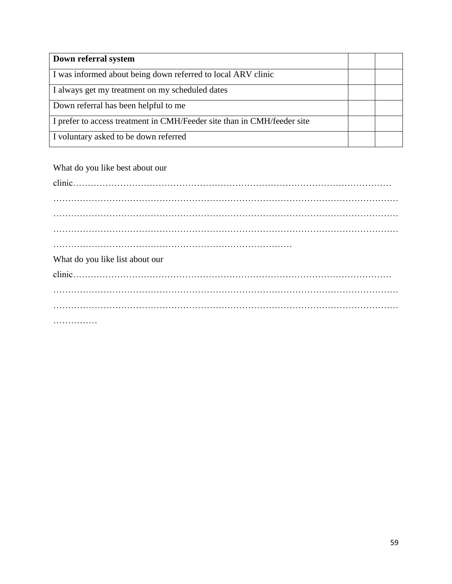| Down referral system                                                    |  |
|-------------------------------------------------------------------------|--|
| I was informed about being down referred to local ARV clinic            |  |
| I always get my treatment on my scheduled dates                         |  |
| Down referral has been helpful to me                                    |  |
| I prefer to access treatment in CMH/Feeder site than in CMH/feeder site |  |
| I voluntary asked to be down referred                                   |  |

What do you like best about our

| What do you like list about our |  |
|---------------------------------|--|
|                                 |  |
|                                 |  |
|                                 |  |
|                                 |  |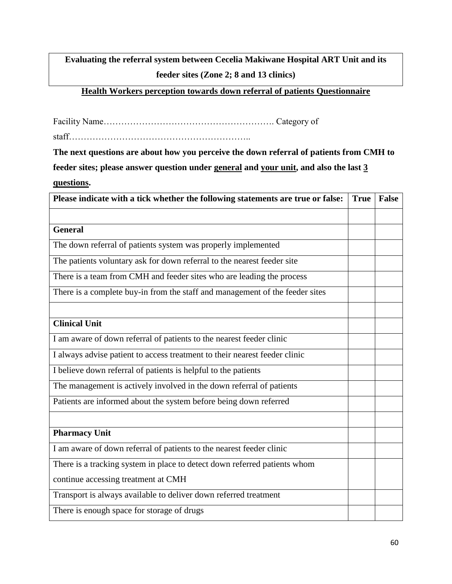**Evaluating the referral system between Cecelia Makiwane Hospital ART Unit and its feeder sites (Zone 2; 8 and 13 clinics)**

# **Health Workers perception towards down referral of patients Questionnaire**

Facility Name…………………………………………………. Category of

staff……………………………………………………..

**The next questions are about how you perceive the down referral of patients from CMH to feeder sites; please answer question under general and your unit, and also the last 3** 

**questions.**

| Please indicate with a tick whether the following statements are true or false: | <b>True</b> | <b>False</b> |
|---------------------------------------------------------------------------------|-------------|--------------|
|                                                                                 |             |              |
| <b>General</b>                                                                  |             |              |
| The down referral of patients system was properly implemented                   |             |              |
| The patients voluntary ask for down referral to the nearest feeder site         |             |              |
| There is a team from CMH and feeder sites who are leading the process           |             |              |
| There is a complete buy-in from the staff and management of the feeder sites    |             |              |
|                                                                                 |             |              |
| <b>Clinical Unit</b>                                                            |             |              |
| I am aware of down referral of patients to the nearest feeder clinic            |             |              |
| I always advise patient to access treatment to their nearest feeder clinic      |             |              |
| I believe down referral of patients is helpful to the patients                  |             |              |
| The management is actively involved in the down referral of patients            |             |              |
| Patients are informed about the system before being down referred               |             |              |
|                                                                                 |             |              |
| <b>Pharmacy Unit</b>                                                            |             |              |
| I am aware of down referral of patients to the nearest feeder clinic            |             |              |
| There is a tracking system in place to detect down referred patients whom       |             |              |
| continue accessing treatment at CMH                                             |             |              |
| Transport is always available to deliver down referred treatment                |             |              |
| There is enough space for storage of drugs                                      |             |              |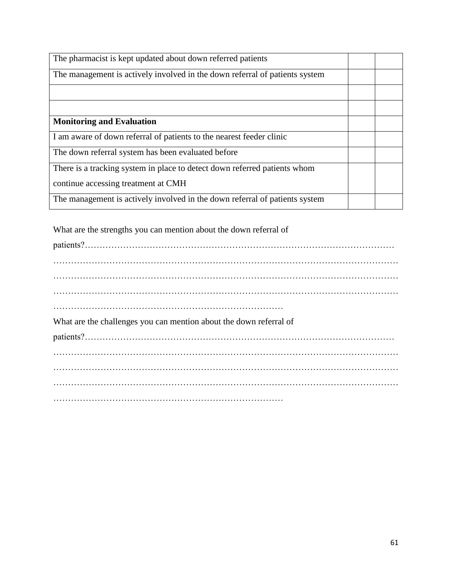| The pharmacist is kept updated about down referred patients                 |  |
|-----------------------------------------------------------------------------|--|
| The management is actively involved in the down referral of patients system |  |
|                                                                             |  |
|                                                                             |  |
| <b>Monitoring and Evaluation</b>                                            |  |
| I am aware of down referral of patients to the nearest feeder clinic        |  |
| The down referral system has been evaluated before                          |  |
| There is a tracking system in place to detect down referred patients whom   |  |
| continue accessing treatment at CMH                                         |  |
| The management is actively involved in the down referral of patients system |  |

| What are the strengths you can mention about the down referral of  |
|--------------------------------------------------------------------|
|                                                                    |
|                                                                    |
|                                                                    |
|                                                                    |
|                                                                    |
| What are the challenges you can mention about the down referral of |
|                                                                    |
|                                                                    |
|                                                                    |
|                                                                    |
|                                                                    |